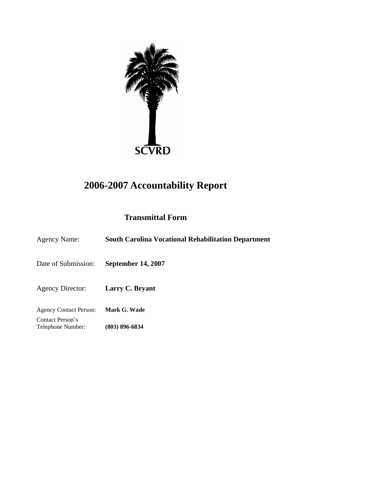

# **2006-2007 Accountability Report**

# **Transmittal Form**

| <b>Agency Name:</b>                   | <b>South Carolina Vocational Rehabilitation Department</b> |
|---------------------------------------|------------------------------------------------------------|
| Date of Submission:                   | <b>September 14, 2007</b>                                  |
| <b>Agency Director:</b>               | Larry C. Bryant                                            |
| <b>Agency Contact Person:</b>         | Mark G. Wade                                               |
| Contact Person's<br>Telephone Number: | (803) 896-6834                                             |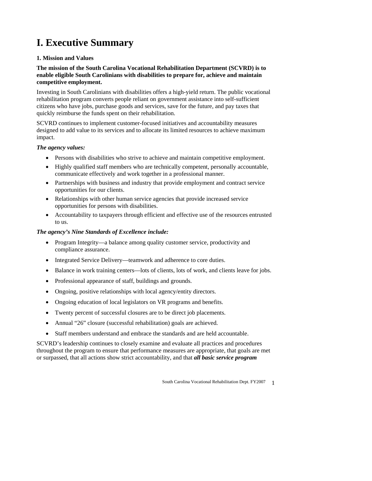# **I. Executive Summary**

# **1. Mission and Values**

### **The mission of the South Carolina Vocational Rehabilitation Department (SCVRD) is to enable eligible South Carolinians with disabilities to prepare for, achieve and maintain competitive employment.**

Investing in South Carolinians with disabilities offers a high-yield return. The public vocational rehabilitation program converts people reliant on government assistance into self-sufficient citizens who have jobs, purchase goods and services, save for the future, and pay taxes that quickly reimburse the funds spent on their rehabilitation.

SCVRD continues to implement customer-focused initiatives and accountability measures designed to add value to its services and to allocate its limited resources to achieve maximum impact.

### *The agency values:*

- Persons with disabilities who strive to achieve and maintain competitive employment.
- Highly qualified staff members who are technically competent, personally accountable, communicate effectively and work together in a professional manner.
- Partnerships with business and industry that provide employment and contract service opportunities for our clients.
- Relationships with other human service agencies that provide increased service opportunities for persons with disabilities.
- Accountability to taxpayers through efficient and effective use of the resources entrusted to us.

# *The agency's Nine Standards of Excellence include:*

- Program Integrity—a balance among quality customer service, productivity and compliance assurance.
- Integrated Service Delivery—teamwork and adherence to core duties.
- Balance in work training centers—lots of clients, lots of work, and clients leave for jobs.
- Professional appearance of staff, buildings and grounds.
- Ongoing, positive relationships with local agency/entity directors.
- Ongoing education of local legislators on VR programs and benefits.
- Twenty percent of successful closures are to be direct job placements.
- Annual "26" closure (successful rehabilitation) goals are achieved.
- Staff members understand and embrace the standards and are held accountable.

SCVRD's leadership continues to closely examine and evaluate all practices and procedures throughout the program to ensure that performance measures are appropriate, that goals are met or surpassed, that all actions show strict accountability, and that *all basic service program*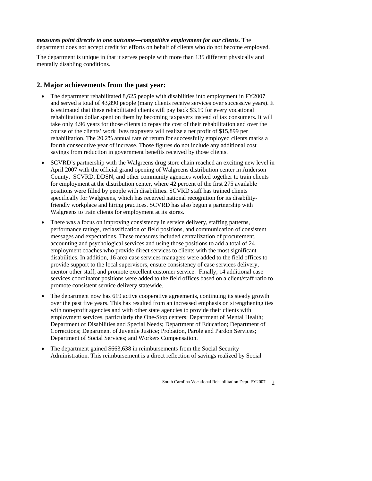*measures point directly to one outcome—competitive employment for our clients.* The department does not accept credit for efforts on behalf of clients who do not become employed.

The department is unique in that it serves people with more than 135 different physically and mentally disabling conditions.

# **2. Major achievements from the past year:**

- The department rehabilitated 8,625 people with disabilities into employment in FY2007 and served a total of 43,890 people (many clients receive services over successive years). It is estimated that these rehabilitated clients will pay back \$3.19 for every vocational rehabilitation dollar spent on them by becoming taxpayers instead of tax consumers. It will take only 4.96 years for those clients to repay the cost of their rehabilitation and over the course of the clients' work lives taxpayers will realize a net profit of \$15,899 per rehabilitation. The 20.2% annual rate of return for successfully employed clients marks a fourth consecutive year of increase. Those figures do not include any additional cost savings from reduction in government benefits received by those clients.
- SCVRD's partnership with the Walgreens drug store chain reached an exciting new level in April 2007 with the official grand opening of Walgreens distribution center in Anderson County. SCVRD, DDSN, and other community agencies worked together to train clients for employment at the distribution center, where 42 percent of the first 275 available positions were filled by people with disabilities. SCVRD staff has trained clients specifically for Walgreens, which has received national recognition for its disabilityfriendly workplace and hiring practices. SCVRD has also begun a partnership with Walgreens to train clients for employment at its stores.
- There was a focus on improving consistency in service delivery, staffing patterns, performance ratings, reclassification of field positions, and communication of consistent messages and expectations. These measures included centralization of procurement, accounting and psychological services and using those positions to add a total of 24 employment coaches who provide direct services to clients with the most significant disabilities. In addition, 16 area case services managers were added to the field offices to provide support to the local supervisors, ensure consistency of case services delivery, mentor other staff, and promote excellent customer service. Finally, 14 additional case services coordinator positions were added to the field offices based on a client/staff ratio to promote consistent service delivery statewide.
- The department now has 619 active cooperative agreements, continuing its steady growth over the past five years. This has resulted from an increased emphasis on strengthening ties with non-profit agencies and with other state agencies to provide their clients with employment services, particularly the One-Stop centers; Department of Mental Health; Department of Disabilities and Special Needs; Department of Education; Department of Corrections; Department of Juvenile Justice; Probation, Parole and Pardon Services; Department of Social Services; and Workers Compensation.
- The department gained \$663,638 in reimbursements from the Social Security Administration. This reimbursement is a direct reflection of savings realized by Social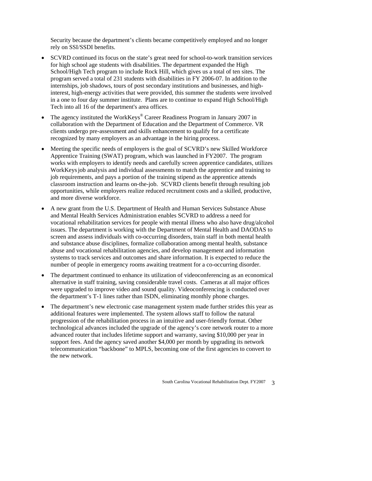Security because the department's clients became competitively employed and no longer rely on SSI/SSDI benefits.

- SCVRD continued its focus on the state's great need for school-to-work transition services for high school age students with disabilities. The department expanded the High School/High Tech program to include Rock Hill, which gives us a total of ten sites. The program served a total of 231 students with disabilities in FY 2006-07. In addition to the internships, job shadows, tours of post secondary institutions and businesses, and highinterest, high-energy activities that were provided, this summer the students were involved in a one to four day summer institute. Plans are to continue to expand High School/High Tech into all 16 of the department's area offices.
- The agency instituted the WorkKeys® Career Readiness Program in January 2007 in collaboration with the Department of Education and the Department of Commerce. VR clients undergo pre-assessment and skills enhancement to qualify for a certificate recognized by many employers as an advantage in the hiring process.
- Meeting the specific needs of employers is the goal of SCVRD's new Skilled Workforce Apprentice Training (SWAT) program, which was launched in FY2007. The program works with employers to identify needs and carefully screen apprentice candidates, utilizes WorkKeysjob analysis and individual assessments to match the apprentice and training to job requirements, and pays a portion of the training stipend as the apprentice attends classroom instruction and learns on-the-job. SCVRD clients benefit through resulting job opportunities, while employers realize reduced recruitment costs and a skilled, productive, and more diverse workforce.
- A new grant from the U.S. Department of Health and Human Services Substance Abuse and Mental Health Services Administration enables SCVRD to address a need for vocational rehabilitation services for people with mental illness who also have drug/alcohol issues. The department is working with the Department of Mental Health and DAODAS to screen and assess individuals with co-occurring disorders, train staff in both mental health and substance abuse disciplines, formalize collaboration among mental health, substance abuse and vocational rehabilitation agencies, and develop management and information systems to track services and outcomes and share information. It is expected to reduce the number of people in emergency rooms awaiting treatment for a co-occurring disorder.
- The department continued to enhance its utilization of videoconferencing as an economical alternative in staff training, saving considerable travel costs. Cameras at all major offices were upgraded to improve video and sound quality. Videoconferencing is conducted over the department's T-1 lines rather than ISDN, eliminating monthly phone charges.
- The department's new electronic case management system made further strides this year as additional features were implemented. The system allows staff to follow the natural progression of the rehabilitation process in an intuitive and user-friendly format. Other technological advances included the upgrade of the agency's core network router to a more advanced router that includes lifetime support and warranty, saving \$10,000 per year in support fees. And the agency saved another \$4,000 per month by upgrading its network telecommunication "backbone" to MPLS, becoming one of the first agencies to convert to the new network.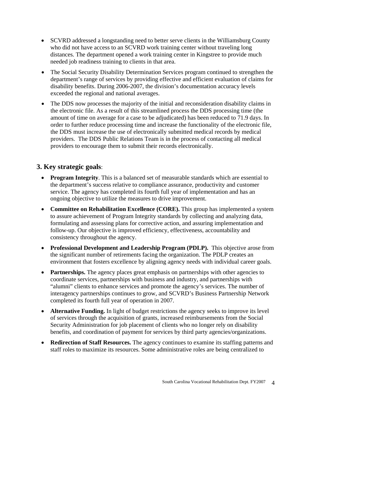- SCVRD addressed a longstanding need to better serve clients in the Williamsburg County who did not have access to an SCVRD work training center without traveling long distances. The department opened a work training center in Kingstree to provide much needed job readiness training to clients in that area.
- The Social Security Disability Determination Services program continued to strengthen the department's range of services by providing effective and efficient evaluation of claims for disability benefits. During 2006-2007, the division's documentation accuracy levels exceeded the regional and national averages.
- The DDS now processes the majority of the initial and reconsideration disability claims in the electronic file. As a result of this streamlined process the DDS processing time (the amount of time on average for a case to be adjudicated) has been reduced to 71.9 days. In order to further reduce processing time and increase the functionality of the electronic file, the DDS must increase the use of electronically submitted medical records by medical providers. The DDS Public Relations Team is in the process of contacting all medical providers to encourage them to submit their records electronically.

# **3. Key strategic goals**:

- **Program Integrity**. This is a balanced set of measurable standards which are essential to the department's success relative to compliance assurance, productivity and customer service. The agency has completed its fourth full year of implementation and has an ongoing objective to utilize the measures to drive improvement.
- **Committee on Rehabilitation Excellence (CORE).** This group has implemented a system to assure achievement of Program Integrity standards by collecting and analyzing data, formulating and assessing plans for corrective action, and assuring implementation and follow-up. Our objective is improved efficiency, effectiveness, accountability and consistency throughout the agency.
- **Professional Development and Leadership Program (PDLP).** This objective arose from the significant number of retirements facing the organization. The PDLP creates an environment that fosters excellence by aligning agency needs with individual career goals.
- **Partnerships.** The agency places great emphasis on partnerships with other agencies to coordinate services, partnerships with business and industry, and partnerships with "alumni" clients to enhance services and promote the agency's services. The number of interagency partnerships continues to grow, and SCVRD's Business Partnership Network completed its fourth full year of operation in 2007.
- **Alternative Funding.** In light of budget restrictions the agency seeks to improve its level of services through the acquisition of grants, increased reimbursements from the Social Security Administration for job placement of clients who no longer rely on disability benefits, and coordination of payment for services by third party agencies/organizations.
- **Redirection of Staff Resources.** The agency continues to examine its staffing patterns and staff roles to maximize its resources. Some administrative roles are being centralized to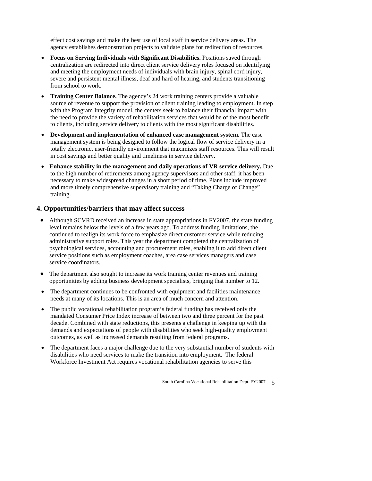effect cost savings and make the best use of local staff in service delivery areas. The agency establishes demonstration projects to validate plans for redirection of resources.

- **Focus on Serving Individuals with Significant Disabilities.** Positions saved through centralization are redirected into direct client service delivery roles focused on identifying and meeting the employment needs of individuals with brain injury, spinal cord injury, severe and persistent mental illness, deaf and hard of hearing, and students transitioning from school to work.
- **Training Center Balance.** The agency's 24 work training centers provide a valuable source of revenue to support the provision of client training leading to employment. In step with the Program Integrity model, the centers seek to balance their financial impact with the need to provide the variety of rehabilitation services that would be of the most benefit to clients, including service delivery to clients with the most significant disabilities.
- **Development and implementation of enhanced case management system.** The case management system is being designed to follow the logical flow of service delivery in a totally electronic, user-friendly environment that maximizes staff resources. This will result in cost savings and better quality and timeliness in service delivery.
- **Enhance stability in the management and daily operations of VR service delivery.** Due to the high number of retirements among agency supervisors and other staff, it has been necessary to make widespread changes in a short period of time. Plans include improved and more timely comprehensive supervisory training and "Taking Charge of Change" training.

# **4. Opportunities/barriers that may affect success**

- Although SCVRD received an increase in state appropriations in FY2007, the state funding level remains below the levels of a few years ago. To address funding limitations, the continued to realign its work force to emphasize direct customer service while reducing administrative support roles. This year the department completed the centralization of psychological services, accounting and procurement roles, enabling it to add direct client service positions such as employment coaches, area case services managers and case service coordinators.
- The department also sought to increase its work training center revenues and training opportunities by adding business development specialists, bringing that number to 12.
- The department continues to be confronted with equipment and facilities maintenance needs at many of its locations. This is an area of much concern and attention.
- The public vocational rehabilitation program's federal funding has received only the mandated Consumer Price Index increase of between two and three percent for the past decade. Combined with state reductions, this presents a challenge in keeping up with the demands and expectations of people with disabilities who seek high-quality employment outcomes, as well as increased demands resulting from federal programs.
- The department faces a major challenge due to the very substantial number of students with disabilities who need services to make the transition into employment. The federal Workforce Investment Act requires vocational rehabilitation agencies to serve this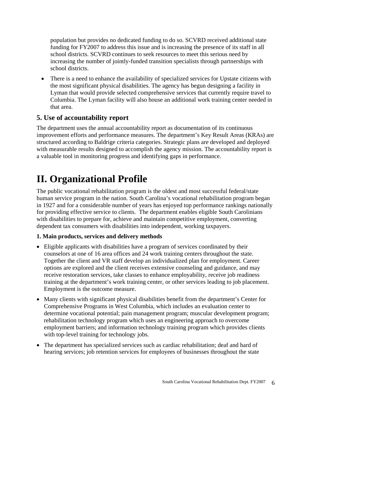population but provides no dedicated funding to do so. SCVRD received additional state funding for FY2007 to address this issue and is increasing the presence of its staff in all school districts. SCVRD continues to seek resources to meet this serious need by increasing the number of jointly-funded transition specialists through partnerships with school districts.

• There is a need to enhance the availability of specialized services for Upstate citizens with the most significant physical disabilities. The agency has begun designing a facility in Lyman that would provide selected comprehensive services that currently require travel to Columbia. The Lyman facility will also house an additional work training center needed in that area.

# **5. Use of accountability report**

The department uses the annual accountability report as documentation of its continuous improvement efforts and performance measures. The department's Key Result Areas (KRAs) are structured according to Baldrige criteria categories. Strategic plans are developed and deployed with measurable results designed to accomplish the agency mission. The accountability report is a valuable tool in monitoring progress and identifying gaps in performance.

# **II. Organizational Profile**

The public vocational rehabilitation program is the oldest and most successful federal/state human service program in the nation. South Carolina's vocational rehabilitation program began in 1927 and for a considerable number of years has enjoyed top performance rankings nationally for providing effective service to clients. The department enables eligible South Carolinians with disabilities to prepare for, achieve and maintain competitive employment, converting dependent tax consumers with disabilities into independent, working taxpayers.

### **1. Main products, services and delivery methods**

- Eligible applicants with disabilities have a program of services coordinated by their counselors at one of 16 area offices and 24 work training centers throughout the state. Together the client and VR staff develop an individualized plan for employment. Career options are explored and the client receives extensive counseling and guidance, and may receive restoration services, take classes to enhance employability, receive job readiness training at the department's work training center, or other services leading to job placement. Employment is the outcome measure.
- Many clients with significant physical disabilities benefit from the department's Center for Comprehensive Programs in West Columbia, which includes an evaluation center to determine vocational potential; pain management program; muscular development program; rehabilitation technology program which uses an engineering approach to overcome employment barriers; and information technology training program which provides clients with top-level training for technology jobs.
- The department has specialized services such as cardiac rehabilitation; deaf and hard of hearing services; job retention services for employees of businesses throughout the state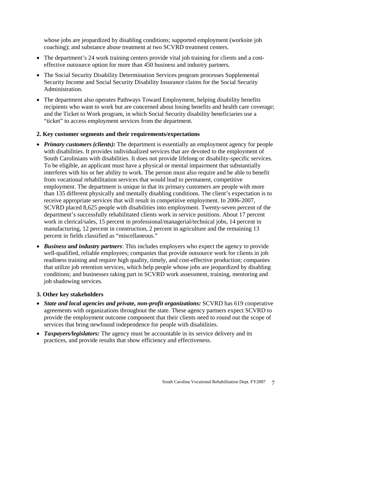whose jobs are jeopardized by disabling conditions; supported employment (worksite job coaching); and substance abuse treatment at two SCVRD treatment centers.

- The department's 24 work training centers provide vital job training for clients and a costeffective outsource option for more than 450 business and industry partners.
- The Social Security Disability Determination Services program processes Supplemental Security Income and Social Security Disability Insurance claims for the Social Security Administration.
- The department also operates Pathways Toward Employment, helping disability benefits recipients who want to work but are concerned about losing benefits and health care coverage; and the Ticket to Work program, in which Social Security disability beneficiaries use a "ticket" to access employment services from the department.

#### **2. Key customer segments and their requirements/expectations**

- *Primary customers (clients):* The department is essentially an employment agency for people with disabilities. It provides individualized services that are devoted to the employment of South Carolinians with disabilities. It does not provide lifelong or disability-specific services. To be eligible, an applicant must have a physical or mental impairment that substantially interferes with his or her ability to work. The person must also require and be able to benefit from vocational rehabilitation services that would lead to permanent, competitive employment. The department is unique in that its primary customers are people with more than 135 different physically and mentally disabling conditions. The client's expectation is to receive appropriate services that will result in competitive employment. In 2006-2007, SCVRD placed 8,625 people with disabilities into employment. Twenty-seven percent of the department's successfully rehabilitated clients work in service positions. About 17 percent work in clerical/sales, 15 percent in professional/managerial/technical jobs, 14 percent in manufacturing, 12 percent in construction, 2 percent in agriculture and the remaining 13 percent in fields classified as "miscellaneous."
- *Business and industry partners*: This includes employers who expect the agency to provide well-qualified, reliable employees; companies that provide outsource work for clients in job readiness training and require high quality, timely, and cost-effective production; companies that utilize job retention services, which help people whose jobs are jeopardized by disabling conditions; and businesses taking part in SCVRD work assessment, training, mentoring and job shadowing services.

#### **3. Other key stakeholders**

- *State and local agencies and private, non-profit organizations:* SCVRD has 619 cooperative agreements with organizations throughout the state. These agency partners expect SCVRD to provide the employment outcome component that their clients need to round out the scope of services that bring newfound independence for people with disabilities.
- *Taxpayers/legislators:* The agency must be accountable in its service delivery and its practices, and provide results that show efficiency and effectiveness.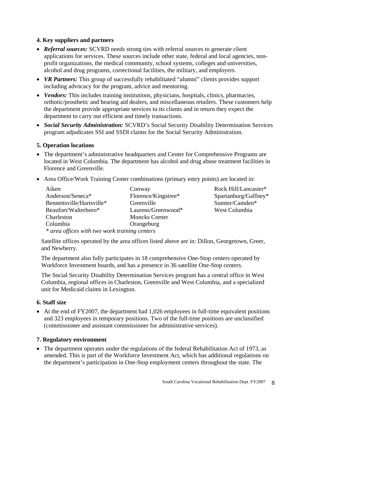# **4. Key suppliers and partners**

- *Referral sources:* SCVRD needs strong ties with referral sources to generate client applications for services. These sources include other state, federal and local agencies, nonprofit organizations, the medical community, school systems, colleges and universities, alcohol and drug programs, correctional facilities, the military, and employers.
- *VR Partners:* This group of successfully rehabilitated "alumni" clients provides support including advocacy for the program, advice and mentoring.
- *Vendors:* This includes training institutions, physicians, hospitals, clinics, pharmacies, orthotic/prosthetic and hearing aid dealers, and miscellaneous retailers. These customers help the department provide appropriate services to its clients and in return they expect the department to carry out efficient and timely transactions.
- *Social Security Administration:* SCVRD's Social Security Disability Determination Services program adjudicates SSI and SSDI claims for the Social Security Administration.

# **5. Operation locations**

- The department's administrative headquarters and Center for Comprehensive Programs are located in West Columbia. The department has alcohol and drug abuse treatment facilities in Florence and Greenville.
- Area Office/Work Training Center combinations (primary entry points) are located in:

| Aiken                                         | Conway               | Rock Hill/Lancaster* |  |  |  |  |
|-----------------------------------------------|----------------------|----------------------|--|--|--|--|
| Anderson/Seneca*                              | Florence/Kingstree*  | Spartanburg/Gaffney* |  |  |  |  |
| Bennettsville/Hartsville*                     | Greenville           | Sumter/Camden*       |  |  |  |  |
| Beaufort/Walterboro*                          | Laurens/Greenwood*   | West Columbia        |  |  |  |  |
| Charleston                                    | <b>Moncks Corner</b> |                      |  |  |  |  |
| Columbia                                      | Orangeburg           |                      |  |  |  |  |
| * area offices with two work training centers |                      |                      |  |  |  |  |

Satellite offices operated by the area offices listed above are in: Dillon, Georgetown, Greer, and Newberry.

The department also fully participates in 18 comprehensive One-Stop centers operated by Workforce Investment boards, and has a presence in 36 satellite One-Stop centers.

The Social Security Disability Determination Services program has a central office in West Columbia, regional offices in Charleston, Greenville and West Columbia, and a specialized unit for Medicaid claims in Lexington.

### **6. Staff size**

• At the end of FY2007, the department had 1,026 employees in full-time equivalent positions and 323 employees in temporary positions. Two of the full-time positions are unclassified (commissioner and assistant commissioner for administrative services).

### **7. Regulatory environment**

• The department operates under the regulations of the federal Rehabilitation Act of 1973, as amended. This is part of the Workforce Investment Act, which has additional regulations on the department's participation in One-Stop employment centers throughout the state. The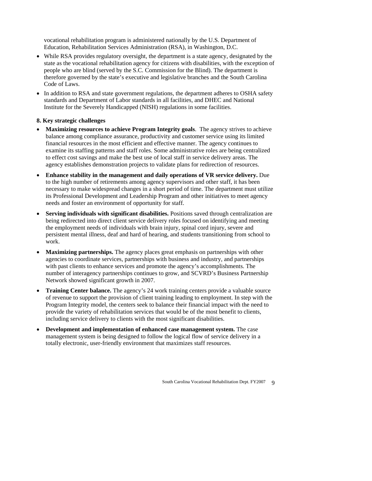vocational rehabilitation program is administered nationally by the U.S. Department of Education, Rehabilitation Services Administration (RSA), in Washington, D.C.

- While RSA provides regulatory oversight, the department is a state agency, designated by the state as the vocational rehabilitation agency for citizens with disabilities, with the exception of people who are blind (served by the S.C. Commission for the Blind). The department is therefore governed by the state's executive and legislative branches and the South Carolina Code of Laws.
- In addition to RSA and state government regulations, the department adheres to OSHA safety standards and Department of Labor standards in all facilities, and DHEC and National Institute for the Severely Handicapped (NISH) regulations in some facilities.

### **8. Key strategic challenges**

- **Maximizing resources to achieve Program Integrity goals**. The agency strives to achieve balance among compliance assurance, productivity and customer service using its limited financial resources in the most efficient and effective manner. The agency continues to examine its staffing patterns and staff roles. Some administrative roles are being centralized to effect cost savings and make the best use of local staff in service delivery areas. The agency establishes demonstration projects to validate plans for redirection of resources.
- **Enhance stability in the management and daily operations of VR service delivery.** Due to the high number of retirements among agency supervisors and other staff, it has been necessary to make widespread changes in a short period of time. The department must utilize its Professional Development and Leadership Program and other initiatives to meet agency needs and foster an environment of opportunity for staff.
- **Serving individuals with significant disabilities.** Positions saved through centralization are being redirected into direct client service delivery roles focused on identifying and meeting the employment needs of individuals with brain injury, spinal cord injury, severe and persistent mental illness, deaf and hard of hearing, and students transitioning from school to work.
- **Maximizing partnerships.** The agency places great emphasis on partnerships with other agencies to coordinate services, partnerships with business and industry, and partnerships with past clients to enhance services and promote the agency's accomplishments. The number of interagency partnerships continues to grow, and SCVRD's Business Partnership Network showed significant growth in 2007.
- **Training Center balance.** The agency's 24 work training centers provide a valuable source of revenue to support the provision of client training leading to employment. In step with the Program Integrity model, the centers seek to balance their financial impact with the need to provide the variety of rehabilitation services that would be of the most benefit to clients, including service delivery to clients with the most significant disabilities.
- **Development and implementation of enhanced case management system.** The case management system is being designed to follow the logical flow of service delivery in a totally electronic, user-friendly environment that maximizes staff resources.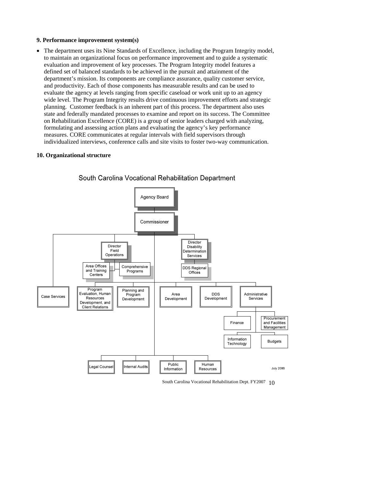#### **9. Performance improvement system(s)**

• The department uses its Nine Standards of Excellence, including the Program Integrity model, to maintain an organizational focus on performance improvement and to guide a systematic evaluation and improvement of key processes. The Program Integrity model features a defined set of balanced standards to be achieved in the pursuit and attainment of the department's mission. Its components are compliance assurance, quality customer service, and productivity. Each of those components has measurable results and can be used to evaluate the agency at levels ranging from specific caseload or work unit up to an agency wide level. The Program Integrity results drive continuous improvement efforts and strategic planning. Customer feedback is an inherent part of this process. The department also uses state and federally mandated processes to examine and report on its success. The Committee on Rehabilitation Excellence (CORE) is a group of senior leaders charged with analyzing, formulating and assessing action plans and evaluating the agency's key performance measures. CORE communicates at regular intervals with field supervisors through individualized interviews, conference calls and site visits to foster two-way communication.

#### **10. Organizational structure**



# South Carolina Vocational Rehabilitation Department

South Carolina Vocational Rehabilitation Dept. FY2007 10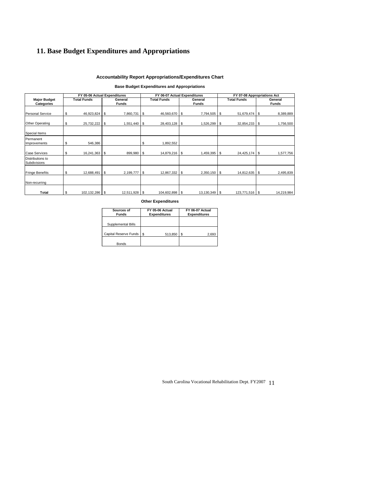# **11. Base Budget Expenditures and Appropriations**

#### **Accountability Report Appropriations/Expenditures Chart**

#### **Base Budget Expenditures and Appropriations**

|                                  | FY 05-06 Actual Expenditures |               |            | FY 06-07 Actual Expenditures |  | FY 07-08 Appropriations Act |    |                    |  |              |
|----------------------------------|------------------------------|---------------|------------|------------------------------|--|-----------------------------|----|--------------------|--|--------------|
| <b>Major Budget</b>              | <b>Total Funds</b>           | General       |            | <b>Total Funds</b>           |  | General                     |    | <b>Total Funds</b> |  | General      |
| Categories                       |                              | <b>Funds</b>  |            |                              |  | <b>Funds</b>                |    |                    |  | <b>Funds</b> |
| <b>Personal Service</b>          |                              |               |            |                              |  |                             |    |                    |  |              |
|                                  | \$<br>46,923,824 \$          | 7,860,731     | l s        | 46,560,670 \$                |  | 7,794,505 \$                |    | 51,679,474 \$      |  | 8,389,889    |
| Other Operating                  | \$<br>25,732,222 \$          | 1,551,440     | l \$       | 28,403,128 \$                |  | 1,526,299 \$                |    | $32,854,233$ \$    |  | 1,756,500    |
| Special Items                    |                              |               |            |                              |  |                             |    |                    |  |              |
| Permanent<br>Improvements        | \$<br>546,386                |               | \$         | ,892,552                     |  |                             |    |                    |  |              |
| <b>Case Services</b>             | \$<br>16,241,363             | \$<br>899,980 | $\sqrt{3}$ | 14,879,216   \$              |  | 1,459,395                   | \$ | 24,425,174 \$      |  | 577,756      |
| Distributions to<br>Subdivisions |                              |               |            |                              |  |                             |    |                    |  |              |
| <b>Fringe Benefits</b>           | \$<br>12,688,491 \$          | 2,199,777 \$  |            | 12,867,332 \$                |  | 2,350,150 \$                |    | 14,812,635 \$      |  | 2,495,839    |
| Non-recurring                    |                              |               |            |                              |  |                             |    |                    |  |              |
| Total                            | \$<br>102,132,286 \$         | 12,511,928 \$ |            | 104,602,898 \$               |  | 13,130,349 \$               |    | 123,771,516 \$     |  | 14,219,984   |

**Other Expenditures**

| Sources of<br><b>Funds</b> | FY 05-06 Actual<br><b>Expenditures</b> | FY 06-07 Actual<br><b>Expenditures</b> |
|----------------------------|----------------------------------------|----------------------------------------|
| Supplemental Bills         |                                        |                                        |
| Capital Reserve Funds      | - \$<br>513,850                        | 2,693                                  |
| <b>Bonds</b>               |                                        |                                        |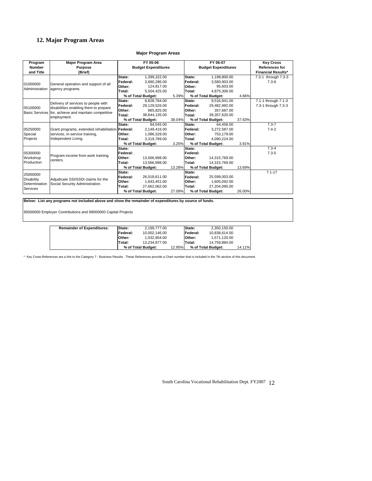# **12. Major Program Areas**

#### **Major Program Areas**

| Program           | Major Program Area                                                                                           |                            | FY 05-06           |        |          | FY 06-07                   |                       | <b>Key Cross</b>          |
|-------------------|--------------------------------------------------------------------------------------------------------------|----------------------------|--------------------|--------|----------|----------------------------|-----------------------|---------------------------|
| <b>Number</b>     | Purpose                                                                                                      | <b>Budget Expenditures</b> |                    |        |          | <b>Budget Expenditures</b> | <b>References for</b> |                           |
| and Title         | (Brief)                                                                                                      |                            |                    |        |          |                            |                       | <b>Financial Results*</b> |
|                   |                                                                                                              | State:                     | 1,399,322.00       |        | State:   | 1,198,800.00               |                       | 7.3-1 through 7.3-3       |
| 01000000          | General operation and support of all                                                                         | Federal:                   | 3.980.286.00       |        | Federal: | 3.580.903.00               |                       | $7.3 - 6$                 |
| Administration    | agency programs.                                                                                             | Other:                     | 124,817.00         |        | Other:   | 95.603.00                  |                       |                           |
|                   |                                                                                                              | Total:                     | 5.504.425.00       |        | Total:   | 4.875.306.00               |                       |                           |
|                   |                                                                                                              |                            | % of Total Budget: | 5.39%  |          | % of Total Budget:         | 4.66%                 |                           |
|                   |                                                                                                              | State:                     | 8,828,784.00       |        | State:   | 9,516,941.00               |                       | 7.1-1 through 7.1-3       |
| 05100000          | Delivery of services to people with                                                                          | Federal:                   | 29.129.526.00      |        | Federal: | 29.482.992.00              |                       | 7.3-1 through 7.3-3       |
|                   | disabilities enabling them to prepare<br>Basic Services for, achieve and maintain competitive<br>employment. | Other:                     | 885.825.00         |        | Other:   | 357.687.00                 |                       |                           |
|                   |                                                                                                              | Total:                     | 38.844.135.00      |        | Total:   | 39.357.620.00              |                       |                           |
|                   |                                                                                                              |                            | % of Total Budget: | 38.04% |          | % of Total Budget:         | 37.63%                |                           |
|                   |                                                                                                              | State:                     | 84.045.00          |        | State:   | 64.458.00                  |                       | $7.3 - 7$                 |
| 05250000          | Grant programs, extended rehabilitation Federal:                                                             |                            | 2.149.416.00       |        | Federal: | 3.272.587.00               |                       | $7.4 - 2$                 |
| Special           | services, in-service training,                                                                               | Other:                     | 1.086.328.00       |        | Other:   | 753.179.00                 |                       |                           |
| Projects          | Independent Living.                                                                                          | Total:                     | 3.319.789.00       |        | Total:   | 4.090.224.00               |                       |                           |
|                   |                                                                                                              |                            | % of Total Budget: | 3.25%  |          | % of Total Budget:         | 3.91%                 |                           |
|                   |                                                                                                              | State:                     |                    |        | State:   |                            |                       | $7.3 - 4$                 |
| 05300000          | Program income from work training                                                                            | Federal:                   |                    |        | Federal: |                            |                       | $7.3 - 5$                 |
| Workshop          | centers.                                                                                                     | Other:                     | 13,566,998.00      |        | Other:   | 14,315,769.00              |                       |                           |
| Production        |                                                                                                              | Total:                     | 13.566.998.00      |        | Total:   | 14.315.769.00              |                       |                           |
|                   |                                                                                                              |                            | % of Total Budget: | 13.28% |          | % of Total Budget:         | 13.69%                |                           |
| 25000000          |                                                                                                              | State:                     |                    |        | State:   |                            |                       | $7.1 - 17$                |
| <b>Disability</b> | Adiudicate SSI/SSDI claims for the                                                                           | Federal:                   | 26.018.611.00      |        | Federal: | 25,599,003.00              |                       |                           |
| Determination     | Social Security Administration.                                                                              | Other:                     | 1.643.451.00       |        | Other:   | 1,605,092.00               |                       |                           |
| Services          |                                                                                                              | Total:                     | 27,662,062.00      |        | Total:   | 27,204,095.00              |                       |                           |
|                   |                                                                                                              |                            | % of Total Budget: | 27.09% |          | % of Total Budget:         | 26.00%                |                           |

**Below: List any programs not included above and show the remainder of expenditures by source of funds.**

95000000 Employer Contributions and 99000000 Capital Projects

| <b>Remainder of Expenditures:</b> | <b>State:</b>    | 2.199.777.00       |        | <b>State:</b>    | 2.350.150.00       |        |
|-----------------------------------|------------------|--------------------|--------|------------------|--------------------|--------|
|                                   | <b>IFederal:</b> | 10.002.146.00      |        | <b>IFederal:</b> | 10.838.614.00      |        |
|                                   | <b>IOther:</b>   | 1.032.954.00       |        | <b>IOther:</b>   | 1,571,120.00       |        |
|                                   | lTotal:          | 13.234.877.00      |        | Total:           | 14.759.884.00      |        |
|                                   |                  | % of Total Budget: | 12.95% |                  | % of Total Budget: | 14.11% |

\* Key Cross-References are a link to the Category 7 - Business Results. These References provide a Chart number that is included in the 7th section of this document.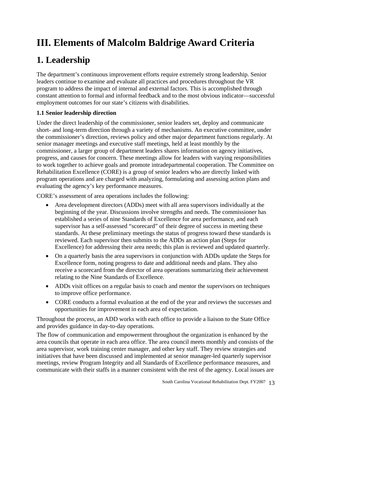# **III. Elements of Malcolm Baldrige Award Criteria**

# **1. Leadership**

The department's continuous improvement efforts require extremely strong leadership. Senior leaders continue to examine and evaluate all practices and procedures throughout the VR program to address the impact of internal and external factors. This is accomplished through constant attention to formal and informal feedback and to the most obvious indicator—successful employment outcomes for our state's citizens with disabilities.

# **1.1 Senior leadership direction**

Under the direct leadership of the commissioner, senior leaders set, deploy and communicate short- and long-term direction through a variety of mechanisms. An executive committee, under the commissioner's direction, reviews policy and other major department functions regularly. At senior manager meetings and executive staff meetings, held at least monthly by the commissioner, a larger group of department leaders shares information on agency initiatives, progress, and causes for concern. These meetings allow for leaders with varying responsibilities to work together to achieve goals and promote intradepartmental cooperation. The Committee on Rehabilitation Excellence (CORE) is a group of senior leaders who are directly linked with program operations and are charged with analyzing, formulating and assessing action plans and evaluating the agency's key performance measures.

CORE's assessment of area operations includes the following:

- Area development directors (ADDs) meet with all area supervisors individually at the beginning of the year. Discussions involve strengths and needs. The commissioner has established a series of nine Standards of Excellence for area performance, and each supervisor has a self-assessed "scorecard" of their degree of success in meeting these standards. At these preliminary meetings the status of progress toward these standards is reviewed. Each supervisor then submits to the ADDs an action plan (Steps for Excellence) for addressing their area needs; this plan is reviewed and updated quarterly.
- On a quarterly basis the area supervisors in conjunction with ADDs update the Steps for Excellence form, noting progress to date and additional needs and plans. They also receive a scorecard from the director of area operations summarizing their achievement relating to the Nine Standards of Excellence.
- ADDs visit offices on a regular basis to coach and mentor the supervisors on techniques to improve office performance.
- CORE conducts a formal evaluation at the end of the year and reviews the successes and opportunities for improvement in each area of expectation.

Throughout the process, an ADD works with each office to provide a liaison to the State Office and provides guidance in day-to-day operations.

The flow of communication and empowerment throughout the organization is enhanced by the area councils that operate in each area office. The area council meets monthly and consists of the area supervisor, work training center manager, and other key staff. They review strategies and initiatives that have been discussed and implemented at senior manager-led quarterly supervisor meetings, review Program Integrity and all Standards of Excellence performance measures, and communicate with their staffs in a manner consistent with the rest of the agency. Local issues are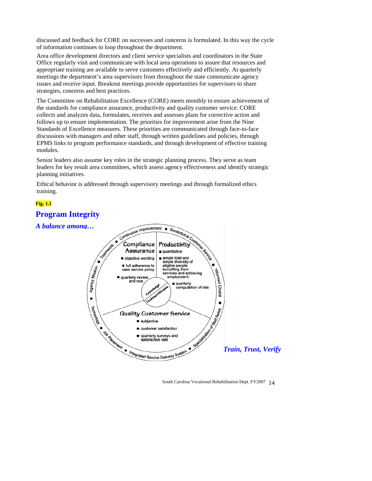discussed and feedback for CORE on successes and concerns is formulated. In this way the cycle of information continues to loop throughout the department.

Area office development directors and client service specialists and coordinators in the State Office regularly visit and communicate with local area operations to assure that resources and appropriate training are available to serve customers effectively and efficiently. At quarterly meetings the department's area supervisors from throughout the state communicate agency issues and receive input. Breakout meetings provide opportunities for supervisors to share strategies, concerns and best practices.

the standards for compliance assurance, productivity and quality customer service. CORE collects and analyzes data, formulates, receives and assesses plans for corrective action and EPMS links to program performance standards, and through development of effective training The Committee on Rehabilitation Excellence (CORE) meets monthly to ensure achievement of follows up to ensure implementation. The priorities for improvement arise from the Nine Standards of Excellence measures. These priorities are communicated through face-to-face discussions with managers and other staff, through written guidelines and policies, through modules.

Senior leaders also assume key roles in the strategic planning process. They serve as team leaders for key result area committees, which assess agency effectiveness and identify strategic planning initiatives.

Ethical behavior is addressed through supervisory meetings and through formalized ethics training.

# **Fig. 1.1**

# **Progr am Integrity**

### *A balance among...*



South Carolina Vocational Rehabilitation Dept. FY2007 14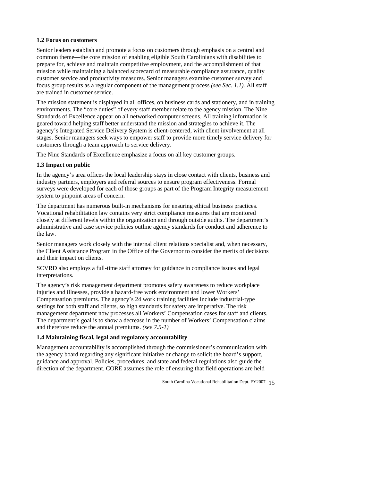#### **1.2 Focus on customers**

focus group results as a regular component of the management process *(see Sec. 1.1)*. All staff Senior leaders establish and promote a focus on customers through emphasis on a central and common theme—the core mission of enabling eligible South Carolinians with disabilities to prepare for, achieve and maintain competitive employment, and the accomplishment of that mission while maintaining a balanced scorecard of measurable compliance assurance, quality customer service and productivity measures. Senior managers examine customer survey and are trained in customer service.

environments. The "core duties" of every staff member relate to the agency mission. The Nine agency's Integrated Service Delivery System is client-centered, with client involvement at all stages. Senior managers seek ways to empower staff to provide more timely service delivery for The mission statement is displayed in all offices, on business cards and stationery, and in training Standards of Excellence appear on all networked computer screens. All training information is geared toward helping staff better understand the mission and strategies to achieve it. The customers through a team approach to service delivery.

The Nine Standards of Excellence emphasize a focus on all key customer groups.

#### **1.3 Impact on public**

In the agency's area offices the local leadership stays in close contact with clients, business and surveys were developed for each of those groups as part of the Program Integrity measurement system to pinpoint areas of concern. industry partners, employers and referral sources to ensure program effectiveness. Formal

The department has numerous built-in mechanisms for ensuring ethical business practices. Vocational rehabilitation law contains very strict compliance measures that are monitored closely at different levels within the organization and through outside audits. The department's administrative and case service policies outline agency standards for conduct and adherence to the law.

Senior managers work closely with the internal client relations specialist and, when necessary, the Client Assistance Program in the Office of the Governor to consider the merits of decisions and their impact on clients.

SCVRD also employs a full-time staff attorney for guidance in compliance issues and legal interpretations.

The agency's risk management department promotes safety awareness to reduce workplace injuries and illnesses, provide a hazard-free work environment and lower Workers' Compensation premiums. The agency's 24 work training facilities include industrial-type settings for both staff and clients, so high standards for safety are imperative. The risk management department now processes all Workers' Compensation cases for staff and clients. The department's goal is to show a decrease in the number of Workers' Compensation claims and therefore reduce the annual premiums. *(see 7.5-1)* 

### **.4 Maintaining fiscal, legal and regulatory accountability 1**

Management accountability is accomplished through the commissioner's communication with the agency board regarding any significant initiative or change to solicit the bo ard's support, guidance and approval. Policies, procedures, and state and federal regulations also guide the direction of the department. CORE assumes the role of ensuring that field operations are held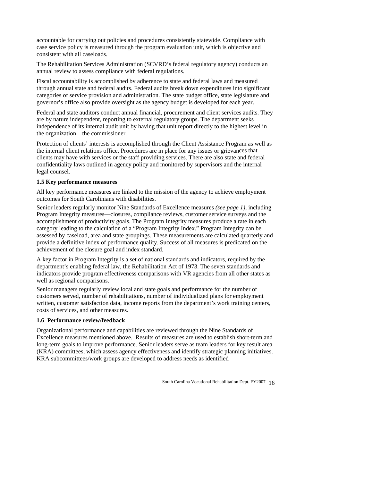accountable for carrying out policies and procedures consistently statewide. Compliance with case service policy is measured through the program evaluation unit, which is objective and consistent with all caseloads.

The Rehabilitation Services Administration (SCVRD's federal regulatory agency) conducts an annual review to assess compliance with federal regulations.

categories of service provision and administration. The state budget office, state legislature and Fiscal accountability is accomplished by adherence to state and federal laws and measured through annual state and federal audits. Federal audits break down expenditures into significant governor's office also provide oversight as the agency budget is developed for each year.

Federal and state auditors conduct annual financial, procurement and client services audits. They are by nature independent, reporting to external regulatory groups. The department seeks independence of its internal audit unit by having that unit report directly to the highest level in the organization—the commissioner.

Protection of clients' interests is accomplished through the Client Assistance Program as well as the internal client relations office. Procedures are in place for any issues or grievances that clients may have with services or the staff providing services. There are also state and federal confidentiality laws outlined in agency policy and monitored by supervisors and the internal legal counsel.

#### **1.5 Key performance measures**

outcomes for South Carolinians with disabilities. All key performance measures are linked to the mission of the agency to achieve employment

Senior leaders regularly monitor Nine Standards of Excellence measures *(see page 1)*, including Program Integrity measures—closures, compliance reviews, customer service surveys and the assessed by caseload, area and state groupings. These measurements are calculated quarterly and accomplishment of productivity goals. The Program Integrity measures produce a rate in each category leading to the calculation of a "Program Integrity Index." Program Integrity can be provide a definitive index of performance quality. Success of all measures is predicated on the achievement of the closure goal and index standard.

A key factor in Program Integrity is a set of national standards and indicators, required by the indicators provide program effectiveness comparisons with VR agencies from all other states as department's enabling federal law, the Rehabilitation Act of 1973. The seven standards and well as regional comparisons.

customers served, number of rehabilitations, number of individualized plans for employment written, customer satisfaction data, income reports from the department's work training centers, Senior managers regularly review local and state goals and performance for the number of costs of services, and other measures.

### **1.6 Performance review/feedback**

Organizational performance and capabilities are reviewed through the Nine Standards of Excellence measures mentioned above. Results of measures are used to establish short-term and long-term goals to improve performance. Senior leaders serve as team leaders for key result area (KRA) committees, which assess agency effectiveness and identify strategic planning initiatives. KRA subcommittees/work groups are developed to address needs as identified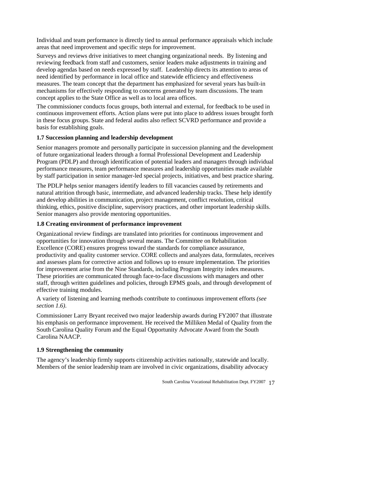Individual and team performance is directly tied to annual performance appraisals which include areas that need improvement and specific steps for improvement.

Surveys and reviews drive initiatives to meet changing organizational needs. By listening and reviewing feedback from staff and customers, senior leaders make adjustments in training and develop agendas based on needs expressed by staff. Leadership directs its attention to areas of need identified by performance in local office and statewide efficiency and effectiveness measures. The team concept that the department has emphasized for several years has built-in mechanisms for effectively responding to concerns generated by team discussions. The team concept applies to the State Office as well as to local area offices.

The commissioner conducts focus groups, both internal and external, for feedback to be used in in these focus groups. State and federal audits also reflect SCVRD performance and provide a continuous improvement efforts. Action plans were put into place to address issues brought forth basis for establishing goals.

#### 1.7 Succession planning and leadership development

Program (PDLP) and through identification of potential leaders and managers through individual performance measures, team performance measures and leadership opportunities made available by staff participation in senior manager-led special projects, initiatives, and best practice sharing. Senior managers promote and personally participate in succession planning and the development of future organizational leaders through a formal Professional Development and Leadership

The PDLP helps senior managers identify leaders to fill vacancies caused by retirements and natural attrition through basic, intermediate, and advanced leadership tracks. These help identify and develop abilities in communication, project management, conflict resolution, critical thinking, ethics, positive discipline, supervisory practices, and other important leadership skills. Senior managers also provide mentoring opportunities.

#### **1.8 Creating environment of performance improvement**

Excellence (CORE) ensures progress toward the standards for compliance assurance, productivity and quality customer service. CORE collects and analyzes data, formulates, receives and assesses plans for corrective action and follows up to ensure implementation. The priorities staff, through written guidelines and policies, through EPMS goals, and through development of Organizational review findings are translated into priorities for continuous improvement and opportunities for innovation through several means. The Committee on Rehabilitation for improvement arise from the Nine Standards, including Program Integrity index measures. These priorities are communicated through face-to-face discussions with managers and other effective training modules.

A variety of listening and learning methods contribute to continuous improvement efforts *(see section 1.6)*.

Commissioner Larry Bryant received two major leadership awards during FY2007 that illustrate his emphasis on performance improvement. He received the Milliken Medal of Quality from the South Carolina Quality Forum and the Equal Opportunity Advocate Award from the South Carolina NAACP.

#### **1.9 Strengthening the community**

The agency's leadership firmly supports citizenship activities nationally, statewide and locally. Members of the senior leadership team are involved in civic organizations, disability advocacy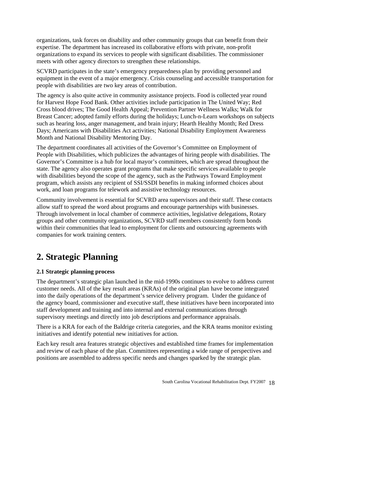expertise. The department has increased its collaborative efforts with private, non-profit organizations, task forces on disability and other community groups that can benefit from their organizations to expand its services to people with significant disabilities. The commissioner meets with other agency directors to strengthen these relationships.

equipment in the event of a major emergency. Crisis counseling and accessible transportation for SCVRD participates in the state's emergency preparedness plan by providing personnel and people with disabilities are two key areas of contribution.

Days; Americans with Disabilities Act activities; National Disability Employment Awareness The agency is also quite active in community assistance projects. Food is collected year round for Harvest Hope Food Bank. Other activities include participation in The United Way; Red Cross blood drives; The Good Health Appeal; Prevention Partner Wellness Walks; Walk for Breast Cancer; adopted family efforts during the holidays; Lunch-n-Learn workshops on subjects such as hearing loss, anger management, and brain injury; Hearth Healthy Month; Red Dress Month and National Disability Mentoring Day.

People with Disabilities, which publicizes the advantages of hiring people with disabilities. The The department coordinates all activities of the Governor's Committee on Employment of Governor's Committee is a hub for local mayor's committees, which are spread throughout the state. The agency also operates grant programs that make specific services available to people with disabilities beyond the scope of the agency, such as the Pathways Toward Employment program, which assists any recipient of SSI/SSDI benefits in making informed choices about work, and loan programs for telework and assistive technology resources.

Community involvement is essential for SCVRD area supervisors and their staff. These contacts Through involvement in local chamber of commerce activities, legislative delegations, Rotary groups and other community organizations, SCVRD staff members consistently form bonds within their communities that lead to employment for clients and outsourcing agreements with allow staff to spread the word about programs and encourage partnerships with businesses. companies for work training centers.

# **2. Strategic Planning**

# **2.1 Strategic planning process**

customer needs. All of the key result areas (KRAs) of the original plan have become integrated the agency board, commissioner and executive staff, these initiatives have been incorporated into staff development and training and into internal and external communications through The department's strategic plan launched in the mid-1990s continues to evolve to address current into the daily operations of the department's service delivery program. Under the guidance of supervisory meetings and directly into job descriptions and performance appraisals.

There is a KRA for each of the Baldrige criteria categories, and the KRA teams monitor existing initiatives and identify potential new initiatives for action.

Each key result area features strategic objectives and established time frames for implementation and review of each phase of the plan. Committees representing a wide range of perspectives and positions are assembled to address specific needs and changes sparked by the strategic plan.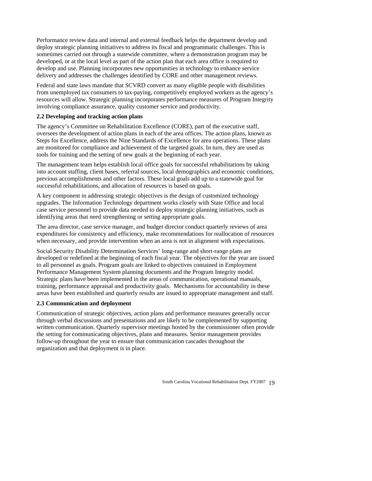deploy strategic planning initiatives to address its fiscal and programmatic challenges. This is developed, or at the local level as part of the action plan that each area office is required to Performance review data and internal and external feedback helps the department develop and sometimes carried out through a statewide committee, where a demonstration program may be develop and use. Planning incorporates new opportunities in technology to enhance service delivery and addresses the challenges identified by CORE and other management reviews.

Federal and state laws mandate that SCVRD convert as many eligible people with disabilities resources will allow. Strategic planning incorporates performance measures of Program Integrity from unemployed tax consumers to tax-paying, competitively employed workers as the agency's involving compliance assurance, quality customer service and productivity.

#### **2.2 Developing and tracking action plans**

oversees the development of action plans in each of the area offices. The action plans, known as Steps for Excellence, address the Nine Standards of Excellence for area operations. These plans The agency's Committee on Rehabilitation Excellence (CORE), part of the executive staff, are monitored for compliance and achievement of the targeted goals. In turn, they are used as tools for training and the setting of new goals at the beginning of each year.

The management team helps establish local office goals for successful rehabilitations by taking into account staffing, client bases, referral sources, local demographics and economic conditions, previous accomplishments and other factors. These local goals add up to a statewide goal for successful rehabilitations, and allocation of resources is based on goals.

A key component in addressing strategic objectives is the design of customized technology upgrades. The Information Technology department works closely with State Office and local case service personnel to provide data needed to deploy strategic planning initiatives, such as identifying areas that need strengthening or setting appropriate goals.

expenditures for consistency and efficiency, make recommendations for reallocation of resources when necessary, and provide intervention when an area is not in alignment with expectations. The area director, case service manager, and budget director conduct quarterly reviews of area

Social Security Disability Determination Services' long-range and short-range plans are developed or redefined at the beginning of each fiscal year. The objectives for the year are issued to all personnel as goals. Program goals are linked to objectives contained in Employment Performance Management System planning documents and the Program Integrity model. Strategic plans have been implemented in the areas of communication, operational manuals, training, performance appraisal and productivity goals. Mechanisms for accountability in these areas have been established and quarterly results are issued to appropriate management and staff.

### **2.3 Communication and deployment**

Communication of strategic objectives, action plans and performance measures generally occur through verbal discussions and presentations and are likely to be complemented by supporting the setting for communicating objectives, plans and measures. Senior management provides written communication. Quarterly supervisor meetings hosted by the commissioner often provide follow-up throughout the year to ensure that communication cascades throughout the organization and that deployment is in place.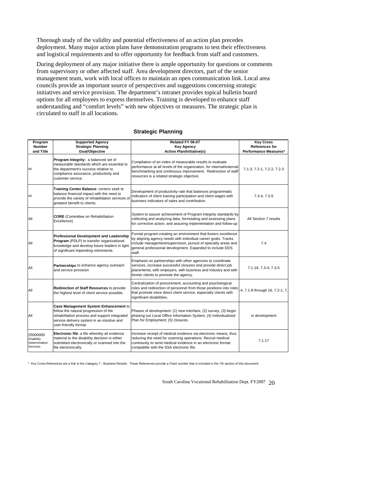Thorough study of the validity and potential effectiveness of an action plan precedes deployment. Many major action plans have demonstration programs to test their effectiveness and logistical requirements and to offer opportunity for feedback from staff and customers.

During deployment of any major initiative there is ample opportunity for questions or comments management team, work with local offices to maintain an open communication link. Local area understanding and "comfort levels" with new objectives or measures. The strategic plan is from supervisory or other affected staff. Area development directors, part of the senior councils provide an important source of perspectives and suggestions concerning strategic initiatives and service provision. The department's intranet provides topical bulletin board options for all employees to express themselves. Training is developed to enhance staff circulated to staff in all locations.

| Program<br><b>Number</b><br>and Title                      | <b>Supported Agency</b><br><b>Strategic Planning</b><br>Goal/Objective                                                                                                                                  | Related FY 06-07<br>Key Agency<br><b>Action Plan/Initiative(s)</b>                                                                                                                                                                                                       | <b>Key Cross</b><br><b>References for</b><br>Performance Measures* |
|------------------------------------------------------------|---------------------------------------------------------------------------------------------------------------------------------------------------------------------------------------------------------|--------------------------------------------------------------------------------------------------------------------------------------------------------------------------------------------------------------------------------------------------------------------------|--------------------------------------------------------------------|
| All                                                        | Program Integrity: a balanced set of<br>measurable standards which are essential to<br>the department's success relative to<br>compliance assurance, productivity and<br>customer service.              | Compilation of an index of measurable results to evaluate<br>performance at all levels of the organization, for internal/external<br>benchmarking and continuous improvement. Redirection of staff<br>resources is a related strategic objective.                        | 7.1-3, 7.2-1, 7.2-2, 7.2-3                                         |
| All                                                        | Training Center Balance: centers seek to<br>balance financial impact with the need to<br>provide the variety of rehabilitation services of<br>greatest benefit to clients.                              | Development of productivity rate that balances programmatic<br>indicators of client training participation and client wages with<br>business indicators of sales and contribution.                                                                                       | $7.3 - 4, 7.3 - 5$                                                 |
| All                                                        | <b>CORE</b> (Committee on Rehabilitation<br>Excellence)                                                                                                                                                 | System to assure achievement of Program Integrity standards by<br>collecting and analyzing data, formulating and assessing plans<br>for corrective action, and assuring implementation and follow-up                                                                     | All Section 7 results                                              |
| All                                                        | Professional Development and Leadership<br>Program (PDLP) to transfer organizational<br>knowledge and develop future leaders in light<br>of significant impending retirements.                          | Formal program creating an environment that fosters excellence<br>by aligning agency needs with individual career goals. Tracks<br>include management/supervision, pursuit of specialty areas and<br>general professional development. Expanded to include DDS<br>staff. | 7.4                                                                |
| All                                                        | Partnerships to enhance agency outreach<br>and service provision                                                                                                                                        | Emphasis on partnerships with other agencies to coordinate<br>services, increase successful closures and provide direct job<br>placements; with empoyers, with business and industry and with<br>former clients to promote the agency.                                   | 7.1-16, 7.3-4, 7.3-5                                               |
| All                                                        | Redirection of Staff Resources to provide<br>the highest level of client service possible.                                                                                                              | Centralization of procurement, accounting and psychological<br>roles and redirection of personnel from those positions into roles<br>that promote more direct client service, especially clients with<br>significant disabilities.                                       | 4, 7.1-8 through 16, 7.2-1, 7.                                     |
| All                                                        | Case Management System Enhancement to<br>follow the natural progression of the<br>rehabilitation process and support integrated<br>service delivery system in an intuitive and<br>user-friendly format. | Phases of development: (1) new interface, (2) survey, (3) begin<br>phasing out Local Office Information System, (4) Individualized<br>Plan for Employment; (5) closures.                                                                                                 | in development                                                     |
| 25000000<br><b>Disability</b><br>Determination<br>Services | Electronic file: a file whereby all evidence<br>material to the disability decision is either<br>submitted electronically or scanned into the<br>file electronically.                                   | Increase receipt of medical evidence via electronic means, thus<br>reducing the need for scanning operations. Recruit medical<br>community to send medical evidence in an electronic format<br>compatible with the SSA electronic file.                                  | $7.1 - 17$                                                         |

#### **Strategic Planning**

\* Key Cross-References are a link to the Category 7 - Business Results. These References provide a Chart number that is included in the 7th section of this document.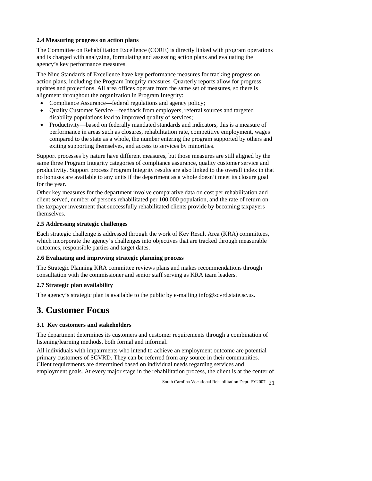#### **2.4 Measuring progress on action plans**

The Committee on Rehabilitation Excellence (CORE) is directly linked with program operation s and is charged with analyzing, formulating and assessing action plans and evaluating the agency's key performance measures.

The Nine Standards of Excellence have key performance measures for tracking progress on action plans, including the Program Integrity measures. Quarterly reports allow for progress updates and projections. All area offices operate from the same set of measures, so there is alignment throughout the organization in Program Integrity:

- Compliance Assurance—federal regulations and agency policy;
- disability populations lead to improved quality of services; • Quality Customer Service—feedback from employers, referral sources and targeted
- Productivity—based on federally mandated standards and indicators, this is a measure of performance in areas such as closures, rehabilitation rate, competitive employment, wages compared to the state as a whole, the number entering the program supported by others and exiting supporting themselves, and access to services by minorities.

Support processes by nature have different measures, but those measures are still aligned by the same three Program Integrity categories of compliance assurance, quality customer service and productivity. Support process Program Integrity results are also linked to the overall index in that no bonuses are available to any units if the department as a whole doesn't meet its closure goal for the year.

Other key measures for the department involve comparative data on cost per rehabilitation and client served, number of persons rehabilitated per 100,000 population, and the rate of return on the taxpayer investment that successfully rehabilitated clients provide by becoming taxpayers themselves.

# **2.5 Addressing strategic challenges**

Each strategic challenge is addressed through the work of Key Result Area (KRA) committees, which incorporate the agency's challenges into objectives that are tracked through measurable outcomes, responsible parties and target dates.

### **2.6 Evaluating and improving strategic planning process**

The Strategic Planning KRA committee reviews plans and makes recommendations through consultation with the commissioner and senior staff serving as KRA team leaders.

#### **2.7 Strategic plan availability**

The agency's strategic plan is available to the public by e-mailing info@scvrd.state.sc.us.

# **3. Customer Focus**

### **3.1 Key customers and stakeholders**

The department determines its customers and customer requirements through a combination of listening/learning methods, both formal and informal.

All individuals with impairments who intend to achieve an employment outcome are potential primary customers of SCVRD. They can be referred from any source in their communities. Client requirements are determined based on individual needs regarding services and employment goals. At every major stage in the rehabilitation process, the client is at the center of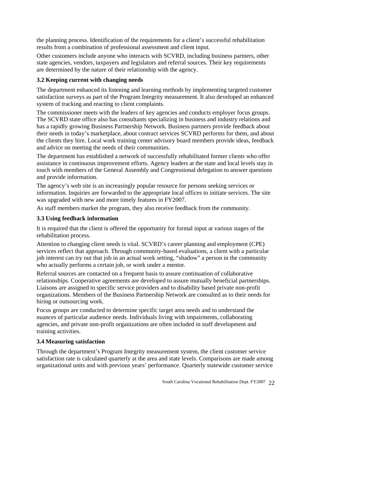the planning process. Identification of the requirements for a client's successful rehabilitation results from a combination of professional assessment and client input.

state agencies, vendors, taxpayers and legislators and referral sources. Their key requirements Other customers include anyone who interacts with SCVRD, including business partners, other are determined by the nature of their relationship with the agency.

#### **3.2 Keeping current with changing needs**

The department enhanced its listening and learning methods by implementing targeted customer satisfaction surveys as part of the Program Integrity measurement. It also developed an enhanced syste m of tracking and reacting to client complaints.

The commissioner meets with the leaders of key agencies and conducts employer focus groups. The SCVRD state office also has consultants specializing in business and industry relations and h as a rapidly growing Business Partnership Network. Business partners provide feedback about their needs in today's marketplace, about contract services SCVRD performs for them, and about the c lients they hire. Local work training center advisory board members provide ideas, feedback and a dvice on meeting the needs of their communities.

The department has established a network of successfully rehabilitated former clients who offer assistance in continuous improvement efforts. Agency leaders at the state and local levels stay in touch with members of the General Assembly and Congressional delegation to answer questions and provide information.

The agency's web site is an increasingly popular resource for persons seeking services or information. Inquiries are forwarded to the appropriate local offices to initiate services. The site was upgraded with new and more timely features in FY2007.

As staff members market the program, they also receive feedback from the community.

#### **3.3 Using feedback information**

It is required that the client is offered the opportunity for formal input at various stages of the rehabilitation process.

services reflect that approach. Through community-based evaluations, a client with a particular job interest can try out that job in an actual work setting, "shadow" a person in the community Attention to changing client needs is vital. SCVRD's career planning and employment (CPE) who actually performs a certain job, or work under a mentor.

Referral sources are contacted on a frequent basis to assure continuation of collaborative relationships. Cooperative agreements are developed to assure mutually beneficial partnerships. Liaisons are assigned to specific service providers and to disability based private non-profit organizations. Members of the Business Partnership Network are consulted as to their needs for hiring or outsourcing work.

Focus groups are conducted to determine specific target area needs and to understand the nuances of particular audience needs. Individuals living with impairments, collaborating agencies, and private non-profit organizations are often included in staff development and training activities.

#### **3.4 Measuring satisfaction**

satisfaction rate is calculated quarterly at the area and state levels. Comparisons are made among organizational units and with previous years' performance. Quarterly statewide customer service Through the department's Program Integrity measurement system, the client customer service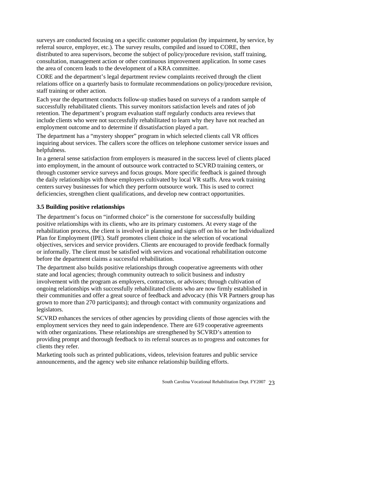surveys are conducted focusing on a specific customer population (by impairment, by service, by referral source, employer, etc.). The survey results, compiled and issued to CORE, then distributed to area supervisors, become the subject of policy/procedure revision, staff training, consultation, management action or other continuous improvement application. In some cases the area of concern leads to the development of a KRA committee.

CORE and the department's legal department review complaints received through the client relations office on a quarterly basis to formulate recommendations on policy/procedure revision, staff training or other action.

successfully rehabilitated clients. This survey monitors satisfaction levels and rates of job Each year the department conducts follow-up studies based on surveys of a random sample of retention. The department's program evaluation staff regularly conducts area reviews that include clients who were not successfully rehabilitated to learn why they have not reached an employment outcome and to determine if dissatisfaction played a part.

The department has a "mystery shopper" program in which selected clients call VR offices inquiring about services. The callers score the offices on telephone customer service issues and helpfulness.

the daily relationships with those employers cultivated by local VR staffs. Area work training In a general sense satisfaction from employers is measured in the success level of clients placed into employment, in the amount of outsource work contracted to SCVRD training centers, or through customer service surveys and focus groups. More specific feedback is gained through centers survey businesses for which they perform outsource work. This is used to correct deficiencies, strengthen client qualifications, and develop new contract opportunities.

#### **3.5 Building positive relationships**

The department's focus on "informed choice" is the cornerstone for successfully building rehabilitation process, the client is involved in planning and signs off on his or her Individualized Plan for Employment (IPE). Staff promotes client choice in the selection of vocational positive relationships with its clients, who are its primary customers. At every stage of the objectives, services and service providers. Clients are encouraged to provide feedback formally or informally. The client must be satisfied with services and vocational rehabilitation outcome before the department claims a successful rehabilitation.

The department also builds positive relationships through cooperative agreements with other ongoing relationships with successfully rehabilitated clients who are now firmly established in grown to more than 270 participants); and through contact with community organizations and state and local agencies; through community outreach to solicit business and industry involvement with the program as employers, contractors, or advisors; through cultivation of their communities and offer a great source of feedback and advocacy (this VR Partners group has legislators.

SCVRD enhances the services of other agencies by providing clients of those agencies with the employment services they need to gain independence. There are 619 cooperative agreements with other organizations. These relationships are strengthened by SCVRD's attention to providing prompt and thorough feedback to its referral sources as to progress and outcomes for clients they refer.

Marketing tools such as printed publications, videos, television features and public service announcements, and the agency web site enhance relationship building efforts.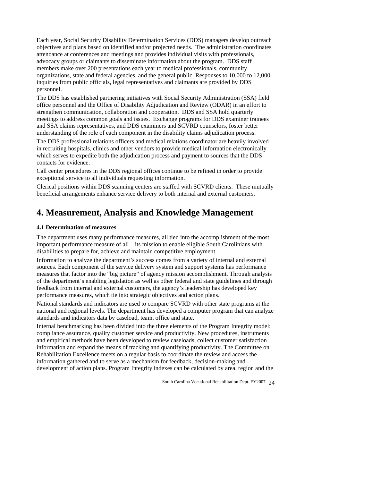objectives and plans based on identified and/or projected needs. The administration coordinates members make over 200 presentations each year to medical professionals, community organizations, state and federal agencies, and the general public. Responses to 10,000 to 12,000 Each year, Social Security Disability Determination Services (DDS) managers develop outreach attendance at conferences and meetings and provides individual visits with professionals, advocacy groups or claimants to disseminate information about the program. DDS staff inquiries from public officials, legal representatives and claimants are provided by DDS personnel.

and SSA claims representatives, and DDS examiners and SCVRD counselors, foster better The DDS has established partnering initiatives with Social Security Administration (SSA) field office personnel and the Office of Disability Adjudication and Review (ODAR) in an effort to strengthen communication, collaboration and cooperation. DDS and SSA hold quarterly meetings to address common goals and issues. Exchange programs for DDS examiner trainees understanding of the role of each component in the disability claims adjudication process.

in recruiting hospitals, clinics and other vendors to provide medical information electronically The DDS professional relations officers and medical relations coordinator are heavily involved which serves to expedite both the adjudication process and payment to sources that the DDS contacts for evidence.

Call center procedures in the DDS regional offices continue to be refined in order to provide exceptional service to all individuals requesting information.

Clerical positions within DDS scanning centers are staffed with SCVRD clients. These mutually beneficial arrangements enhance service delivery to both internal and external customers.

# **4. Measurement, Analysis and Knowledge Management**

### **4.1 Determination of measures**

The department uses many performance measures, all tied into the accomplishment of the most important performance measure of all—its mission to enable eligible South Carolinians with disabilities to prepare for, achieve and maintain competitive employment.

Information to analyze the department's success comes from a variety of internal and external measures that factor into the "big picture" of agency mission accomplishment. Through analysis of the department's enabling legislation as well as other federal and state guidelines and through sources. Each component of the service delivery system and support systems has performance feedback from internal and external customers, the agency's leadership has developed key performance measures, which tie into strategic objectives and action plans.

national and regional levels. The department has developed a computer program that can analyze National standards and indicators are used to compare SCVRD with other state programs at the standards and indicators data by caseload, team, office and state.

Internal benchmarking has been divided into the three elements of the Program Integrity model: compliance assurance, quality customer service and productivity. New procedures, instruments information and expand the means of tracking and quantifying productivity. The Committee on information gathered and to serve as a mechanism for feedback, decision-making and development of action plans. Program Integrity indexes can be calculated by area, region and the and empirical methods have been developed to review caseloads, collect customer satisfaction Rehabilitation Excellence meets on a regular basis to coordinate the review and access the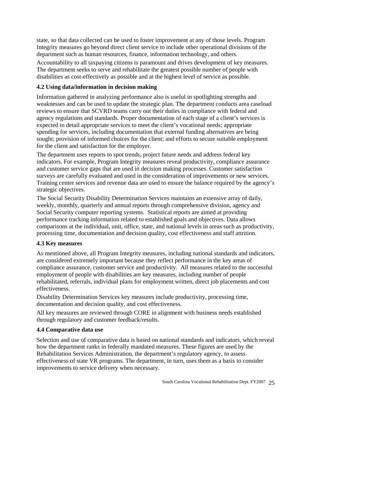state, so that data collected can be used to foster improvement at any of those levels. Program Integrity measures go beyond direct client service to include other operational divisions of the department such as human resources, finance, information technology, and others.

Accountability to all taxpaying citizens is paramount and drives development of key measures. The department seeks to serve and rehabilitate the greatest possible number of people with disabilities as cost-effectively as possible and at the highest level of service as possible.

### **4.2 Using data/information in decision making**

Information gathered in analyzing performance also is useful in spotlighting strengths and weaknesses and can be used to update the strategic plan. The department conducts area caseload reviews to ensure that SCVRD teams carry out their duties in compliance with federal and agency regulations and standards. Proper documentation of each stage of a client's services is expected to detail appropriate services to meet the client's vocational needs; appropriate spending for services, including documentation that external funding alternatives are being sought; provision of informed choices for the client; and efforts to secure suitable employment for the client and satisfaction for the employer.

indicators. For example, Program Integrity measures reveal productivity, compliance assurance surveys are carefully evaluated and used in the consideration of improvements or new services. The department uses reports to spot trends, project future needs and address federal key and customer service gaps that are used in decision making processes. Customer satisfaction Training center services and revenue data are used to ensure the balance required by the agency's strategic objectives.

The Social Security Disability Determination Services maintains an extensive array of daily, comparisons at the individual, unit, office, state, and national levels in areas such as productivity, weekly, monthly, quarterly and annual reports through comprehensive division, agency and Social Security computer reporting systems. Statistical reports are aimed at providing performance tracking information related to established goals and objectives. Data allows processing time, documentation and decision quality, cost effectiveness and staff attrition.

#### **4.3 Key measures**

As mentioned above, all Program Integrity measures, including national standards and indicators, compliance assurance, customer service and productivity. All measures related to the successful are considered extremely important because they reflect performance in the key areas of employment of people with disabilities are key measures, including number of people rehabilitated, referrals, individual plans for employment written, direct job placements and cost effectiveness.

Disability Determination Services key measures include productivity, processing time, documentation and decision quality, and cost effectiveness.

All key measures are reviewed through CORE in alignment with business needs established through regulatory and customer feedback/results.

#### **4.4 Comparative data use**

Selection and use of comparative data is based on national standards and indicators, which reveal effectiveness of state VR programs. The department, in turn, uses them as a basis to consider how the department ranks in federally mandated measures. These figures are used by the Rehabilitation Services Administration, the department's regulatory agency, to assess improvements to service delivery when necessary.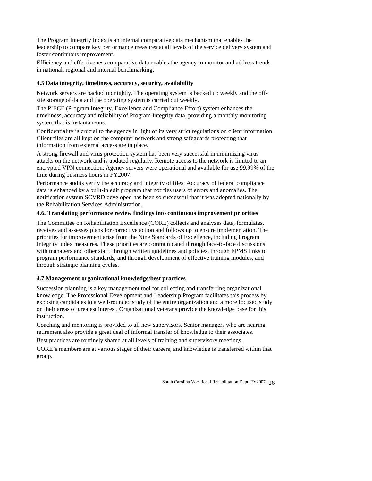The Program Integrity Index is an internal comparative data mechanism that enables the leadership to compare key performance measures at all levels of the service delivery system and foster continuous improvement.

Efficiency and effectiveness comparative data enables the agency to monitor and address trends in national, regional and internal benchmarking.

#### 4.5 Data integrity, timeliness, accuracy, security, availability

Network servers are backed up nightly. The operating system is backed up weekly and the offsite storage of data and the operating system is carried out weekly.

The PIECE (Program Integrity, Excellence and Compliance Effort) system enhances the timeliness, accuracy and reliability of Program Integrity data, providing a monthly monitoring system that is instantaneous.

Confidentiality is crucial to the agency in light of its very strict regulations on client information. Client files are all kept on the computer network and strong safeguards protecting that information from external access are in place.

A strong firewall and virus protection system has been very successful in minimizing virus encrypted VPN connection. Agency servers were operational and available for use 99.99% of the attacks on the network and is updated regularly. Remote access to the network is limited to an time during business hours in FY2007.

data is enhanced by a built-in edit program that notifies users of errors and anomalies. The notification system SCVRD developed has been so successful that it was adopted nationally by Performance audits verify the accuracy and integrity of files. Accuracy of federal compliance the Rehabilitation Services Administration.

#### **4.6. Translating performance review findings into continuous improvement priorities**

Integrity index measures. These priorities are communicated through face-to-face discussions The Committee on Rehabilitation Excellence (CORE) collects and analyzes data, formulates, receives and assesses plans for corrective action and follows up to ensure implementation. The priorities for improvement arise from the Nine Standards of Excellence, including Program with managers and other staff, through written guidelines and policies, through EPMS links to program performance standards, and through development of effective training modules, and through strategic planning cycles.

### **4.7 Management organizational knowledge/best practices**

Succession planning is a key management tool for collecting and transferring organizational knowledge. The Professional Development and Leadership Program facilitates this process by on their areas of greatest interest. Organizational veterans provide the knowledge base for this exposing candidates to a well-rounded study of the entire organization and a more focused study instruction.

Coaching and mentoring is provided to all new supervisors. Senior managers who are nearing retirement also provide a great deal of informal transfer of knowledge to their associates.

Best practices are routinely shared at all levels of training and supervisory meetings.

CORE's members are at various stages of their careers, and knowledge is transferred within that group.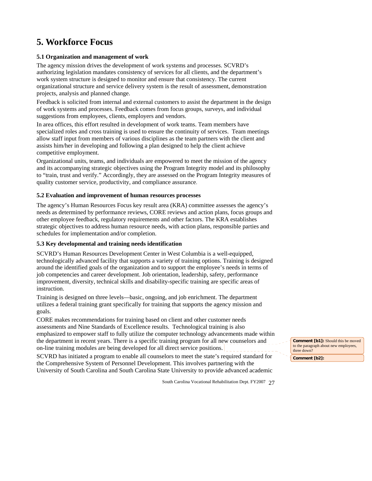# **5. Workforce Focus**

# **5.1 Organization and management of work**

authorizing legislation mandates consistency of services for all clients, and the department's work system structure is designed to monitor and ensure that consistency. The current organizational structure and service delivery system is the result of assessment, demonstration The agency mission drives the development of work systems and processes. SCVRD's projects, analysis and planned change.

Feedback is solicited from internal and external customers to assist the department in the design of work systems and processes. Feedback comes from focus groups, surveys, and individual suggestions from employees, clients, employers and vendors.

In area offices, this effort resulted in development of work teams. Team members have allow staff input from members of various disciplines as the team partners with the client and assists him/her in developing and following a plan designed to help the client achieve specialized roles and cross training is used to ensure the continuity of services. Team meetings competitive employment.

to "train, trust and verify." Accordingly, they are assessed on the Program Integrity measures of Organizational units, teams, and individuals are empowered to meet the mission of the agency and its accompanying strategic objectives using the Program Integrity model and its philosophy quality customer service, productivity, and compliance assurance.

#### **5.2 Evaluation and improvement of human resources processes**

The agency's Human Resources Focus key result area (KRA) committee assesses the agency's needs as determined by performance reviews, CORE reviews and action plans, focus groups and other employee feedback, regulatory requirements and other factors. The KRA establishes strategic objectives to address human resource needs, with action plans, responsible parties and schedules for implementation and/or completion.

#### **5.3 Key developmental and training needs identification**

technologically advanced facility that supports a variety of training options. Training is designed around the identified goals of the organization and to support the employee's needs in terms of job competencies and career development. Job orientation, leadership, safety, performance improvement, diversity, technical skills and disability-specific training are specific areas of SCVRD's Human Resources Development Center in West Columbia is a well-equipped, instruction.

Training is designed on three levels—basic, ongoing, and job enrichment. The department utilizes a federal training grant specifically for training that supports the agency mission and goals.

emphasized to empower staff to fully utilize the computer technology advancements made within the department in recent years. There is a specific training program for all new counselors and CORE makes recommendations for training based on client and other customer needs assessments and Nine Standards of Excellence results. Technological training is also on-line training modules are being developed for all direct service positions.

SCVRD has initiated a program to enable all counselors to meet the state's required standard for the Comprehensive System of Personnel Development. This involves partnering with the University of South Carolina and South Carolina State University to provide advanced academic

South Carolina Vocational Rehabilitation Dept. FY2007 27

**Comment [b1]:** Should this be moved to the paragraph about new employees three down?

**Comment [b2]:**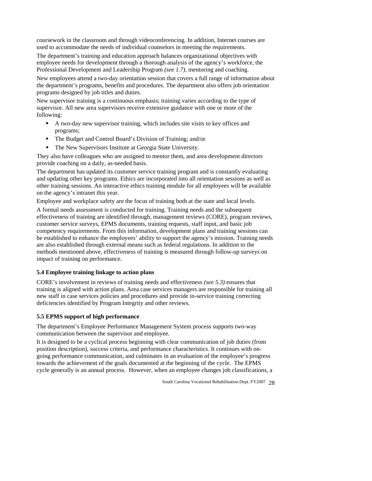coursework in the classroom and through videoconferencing. In addition, Internet courses are used to accommodate the needs of individual counselors in meeting the requirements.

The department's training and education approach balances organizational objectives with employee needs for development through a thorough analysis of the agency's workforce, the Professional Development and Leadership Program *(see 1.7)*, mentoring and coaching.

New employees attend a two-day orientation session that covers a full range of information about programs designed by job titles and duties. the department's programs, benefits and procedures. The department also offers job orientation

New supervisor training is a continuous emphasis; training varies according to the type of supervisor. All new area supervisors receive extensive guidance with one or more of the following:

- A two-day new supervisor training, which includes site visits to key offices and programs;
- The Budget and Control Board's Division of Training; and/or
- **The New Supervisors Institute at Georgia State University.**

They also have colleagues who are assigned to mentor them, and area development directors provide coaching on a daily, as-needed basis.

other training sessions. An interactive ethics training module for all employees will be available The department has updated its customer service training program and is constantly evaluating and updating other key programs. Ethics are incorporated into all orientation sessions as well as on the agency's intranet this year.

Employee and workplace safety are the focus of training both at the state and local levels.

be established to enhance the employees' ability to support the agency's mission. Training needs are also established through external means such as federal regulations. In addition to the methods mentioned above, effectiveness of training is measured through follow-up surveys on A formal needs assessment is conducted for training. Training needs and the subsequent effectiveness of training are identified through, management reviews (CORE), program reviews, customer service surveys, EPMS documents, training requests, staff input, and basic job competency requirements. From this information, development plans and training sessions can impact of training on performance.

### **5.4 Employee training linkage to action plans**

training is aligned with action plans. Area case services managers are responsible for training all CORE's involvement in reviews of training needs and effectiveness *(see 5.3)* ensures that new staff in case services policies and procedures and provide in-service training correcting deficiencies identified by Program Integrity and other reviews.

### **5.5 EPMS support of high performance**

The department's Employee Performance Management System process supports two-way communication between the supervisor and employee.

position description), success criteria, and performance characteristics. It continues with ontowards the achievement of the goals documented at the beginning of the cycle. The EPMS It is designed to be a cyclical process beginning with clear communication of job duties (from going performance communication, and culminates in an evaluation of the employee's progress cycle generally is an annual process. However, when an employee changes job classifications, a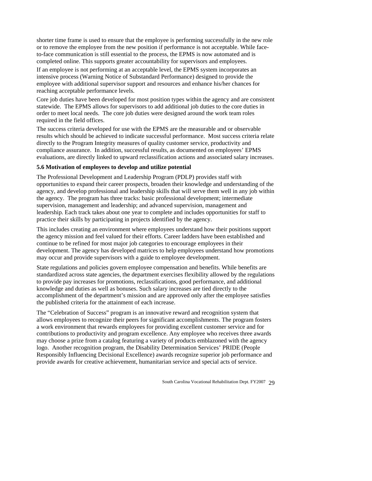shorter time frame is used to ensure that the employee is performing successfully in the new role or to remove the employee from the new position if performance is not acceptable. While faceto-face communication is still essential to the process, the EPMS is now automated and is completed online. This supports greater accountability for supervisors and employees.

If an employee is not performing at an acceptable level, the EPMS system incorporates an intensive process (Warning Notice of Substandard Performance) designed to provide the employee with additional supervisor support and resources and enhance his/her chances for reaching acceptable performance levels.

Core job duties have been developed for most position types within the agency and are consistent statewide. The EPMS allows for supervisors to add additional job duties to the core duties in required in the field offices. order to meet local needs. The core job duties were designed around the work team roles

The success criteria developed for use with the EPMS are the measurable and or observable results which should be achieved to indicate successful performance. Most success criteria relate directly to the Program Integrity measures of quality customer service, productivity and compliance assurance. In addition, successful results, as documented on employees' EPMS evaluations, are directly linked to upward reclassification actions and associated salary increases.

### **5.6 Motivation of employees to develop and utilize potential**

The Professional Development and Leadership Program (PDLP) provides staff with opportunities to expand their career prospects, broaden their knowledge and understanding of the agency, and develop professional and leadership skills that will serve them well in any job within the agency. The program has three tracks: basic professional development; intermediate supervision, management and leadership; and advanced supervision, management and leadership. Each track takes about one year to complete and includes opportunities for staff to practice their skills by participating in projects identified by the agency.

development. The agency has developed matrices to help employees understand how promotions This includes creating an environment where employees understand how their positions support the agency mission and feel valued for their efforts. Career ladders have been established and continue to be refined for most major job categories to encourage employees in their may occur and provide supervisors with a guide to employee development.

State regulations and policies govern employee compensation and benefits. While benefits are standardized across state agencies, the department exercises flexibility allowed by the regulations to provide pay increases for promotions, reclassifications, good performance, and additional accomplishment of the department's mission and are approved only after the employee satisfies knowledge and duties as well as bonuses. Such salary increases are tied directly to the the published criteria for the attainment of each increase.

The "Celebration of Success" program is an innovative reward and recognition system that allows employees to recognize their peers for significant accomplishments. The program fosters a work environment that rewards employees for providing excellent customer service and for contributions to productivity and program excellence. Any employee who receives three awards may choose a prize from a catalog featuring a variety of products emblazoned with the agency logo. Another recognition program, the Disability Determination Services' PRIDE (People Responsibly Influencing Decisional Excellence) awards recognize superior job performance and provide awards for creative achievement, humanitarian service and special acts of service.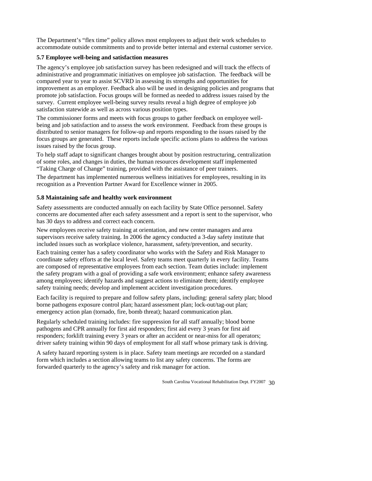The Department's "flex time" policy allows most employees to adjust their work schedules to accommodate outside commitments and to provide better internal and external customer service.

### **5.7 Employee well-being and satisfaction measures**

The agency's employee job satisfaction survey has been redesigned and will track the effects of administrative and programmatic initiatives on employee job satisfaction. The feedback will be improvement as an employer. Feedback also will be used in designing policies and programs that compared year to year to assist SCVRD in assessing its strengths and opportunities for promote job satisfaction. Focus groups will be formed as needed to address issues raised by the survey. Current employee well-being survey results reveal a high degree of employee job satisfaction statewide as well as across various position types.

The commissioner forms and meets with focus groups to gather feedback on employee wellbeing and job satisfaction and to assess the work environment. Feedback from these groups is distributed to senior managers for follow-up and reports responding to the issues raised by the focus groups are generated. These reports include specific actions plans to address the various issues raised by the focus group.

"Taking Charge of Change" training, provided with the assistance of peer trainers. To help staff adapt to significant changes brought about by position restructuring, centralization of some roles, and changes in duties, the human resources development staff implemented

The department has implemented numerous wellness initiatives for employees, resulting in its recognition as a Prevention Partner Award for Excellence winner in 2005.

#### **5.8 Maintaining safe and healthy work environment**

Safety assessments are conducted annually on each facility by State Office personnel. Safety concerns are documented after each safety assessment and a report is sent to the supervisor, who has 30 days to address and correct each concern.

included issues such as workplace violence, harassment, safety/prevention, and security. New employees receive safety training at orientation, and new center managers and area supervisors receive safety training. In 2006 the agency conducted a 3-day safety institute that

coordinate safety efforts at the local level. Safety teams meet quarterly in every facility. Teams Each training center has a safety coordinator who works with the Safety and Risk Manager to are composed of representative employees from each section. Team duties include: implement the safety program with a goal of providing a safe work environment; enhance safety awareness among employees; identify hazards and suggest actions to eliminate them; identify employee safety training needs; develop and implement accident investigation procedures.

borne pathogens exposure control plan; hazard assessment plan; lock-out/tag-out plan; Each facility is required to prepare and follow safety plans, including: general safety plan; blood emergency action plan (tornado, fire, bomb threat); hazard communication plan.

Regularly scheduled training includes: fire suppression for all staff annually; blood borne pathogens and CPR annually for first aid responders; first aid every 3 years for first aid responders; forklift training every 3 years or after an accident or near-miss for all operators; driver safety training within 90 days of employment for all staff whose primary task is driving.

A safety hazard reporting system is in place. Safety team meetings are recorded on a standard form which includes a section allowing teams to list any safety concerns. The forms are forwarded quarterly to the agency's safety and risk manager for action.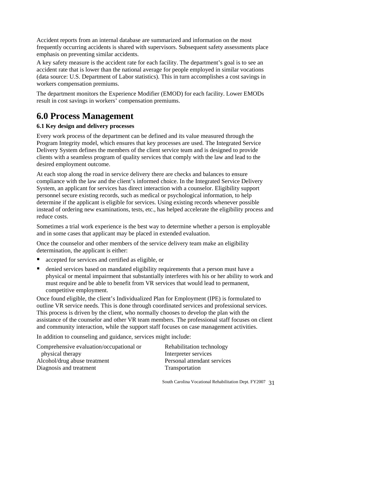Accident reports from an internal database are summarized and information on the most frequently occurring accidents is shared with supervisors. Subsequent safety assessments place emphasis on preventing similar accidents.

A key safety measure is the accident rate for each facility. The department's goal is to see an accident rate that is lower than the national average for people employed in similar vocations (data source: U.S. Department of Labor statistics). This in turn accomplishes a cost savings in workers compensation premiums.

The department monitors the Experience Modifier (EMOD) for each facility. Lower EMODs result in cost savings in workers' compensation premiums.

# **6.0 Process Management**

### **6.1 Key design and delivery processes**

Every work process of the department can be defined and its value measured through the Program Integrity model, which ensures that key processes are used. The Integrated Service Delivery System defines the members of the client service team and is designed to provide clients with a seamless program of quality services that comply with the law and lead to the desired employment outcome.

System, an applicant for services has direct interaction with a counselor. Eligibility support personnel secure existing records, such as medical or psychological information, to help At each stop along the road in service delivery there are checks and balances to ensure compliance with the law and the client's informed choice. In the Integrated Service Delivery determine if the applicant is eligible for services. Using existing records whenever possible instead of ordering new examinations, tests, etc., has helped accelerate the eligibility process and reduce costs.

Sometimes a trial work experience is the best way to determine whether a person is employable and in some cases that applicant may be placed in extended evaluation.

Once the counselor and other members of the service delivery team make an eligibility determination, the applicant is either:

- accepted for services and certified as eligible, or
- denied services based on mandated eligibility requirements that a person must have a physical or mental impairment that substantially interferes with his or her ability to work and must require and be able to benefit from VR services that would lead to permanent, competitive employment.

outline VR service needs. This is done through coordinated services and professional services. This process is driven by the client, who normally chooses to develop the plan with the assistance of the counselor and other VR team members. The professional staff focuses on client Once found eligible, the client's Individualized Plan for Employment (IPE) is formulated to and community interaction, while the support staff focuses on case management activities.

In addition to counseling and guidance, services might include:

| Comprehensive evaluation/occupational or | Rehabilitation technology   |
|------------------------------------------|-----------------------------|
| physical therapy                         | Interpreter services        |
| Alcohol/drug abuse treatment             | Personal attendant services |
| Diagnosis and treatment                  | Transportation              |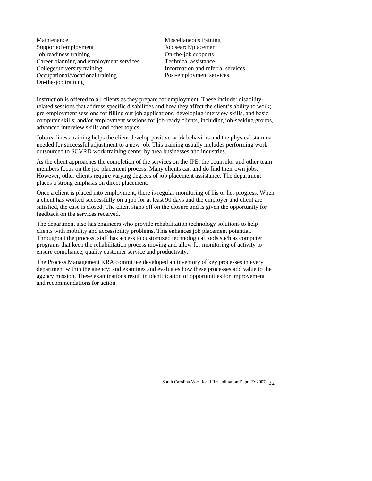Maintenance Supported employment Job readiness training Career planning and employment services College/university training Occupational/vocational training On-the-job training

On-the-job supports Miscellaneous training Job search/placement Technical assistance Information and referral services Post-employment services

Instruction is offered to all clients as they prepare for employment. These include: disabilityrelated sessions that address specific disabilities and how they affect the client's ability to work; pre-employment sessions for filling out job applications, developing interview skills, and basic computer skills; and/or employment sessions for job-ready clients, including job-seeking groups, advanced interview skills and other topics.

Job-readiness training helps the client develop positive work behaviors and the physical stamina needed for successful adjustment to a new job. This training usually includes performing work outsourced to SCVRD work training center by area businesses and industries.

As the client approaches the completion of the services on the IPE, the counselor and other team members focus on the job placement process. Many clients can and do find their own jobs. However, other clients require varying degrees of job placement assistance. The department places a strong emphasis on direct placement.

Once a client is placed into employment, there is regular monitoring of his or her progress. When a client has worked successfully on a job for at least 90 days and the employer and client are satisfied, the case is closed. The client signs off on the closure and is given the opportunity for feedback on the services received.

Throughout the process, staff has access to customized technological tools such as computer programs that keep the rehabilitation process moving and allow for monitoring of activity to ensure compliance, quality customer service and productivity. The department also has engineers who provide rehabilitation technology solutions to help clients with mobility and accessibility problems. This enhances job placement potential.

The Process Management KRA committee developed an inventory of key processes in every department within the agency; and examines and evaluates how these processes add value to the age ncy mission. These examinations result in identification of opportunities for improvement and recommendations for action.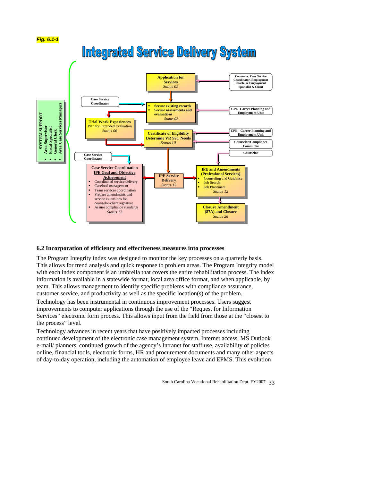

# **Integrated Service Delivery System**



### **6.2 Incorporation of efficiency and effectiveness measures into processes**

The Program Integrity index was designed to monitor the key processes on a quarterly basis. This allows for trend analysis and quick response to problem areas. The Program Integrity model with each index component is an umbrella that covers the entire rehabilitation process. The index information is available in a statewide format, local area office format, and when applicable, by team. This allows management to identify specific problems with compliance assurance, customer service, and productivity as well as the specific location(s) of the problem.

Technology has been instrumental in continuous improvement processes. Users suggest improvements to computer applications through the use of the "Request for Information Services" electronic form process. This allows input from the field from those at the "closest to the process" level.

Technology advances in recent years that have positively impacted processes including continued development of the electronic case management system, Internet access, MS Outlook e-mail/ planners, continued growth of the agency's Intranet for staff use, availability of policies online, financial tools, electronic forms, HR and procurement documents and many other aspects of day-to-day operation, including the automation of employee leave and EPMS. This evolution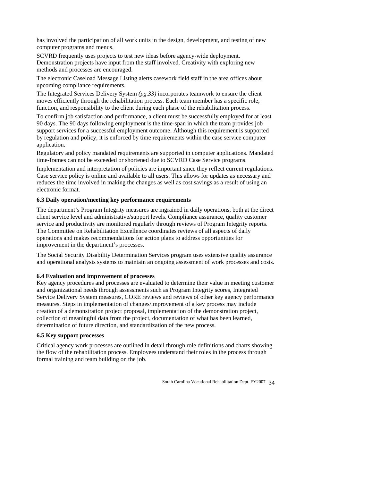has involved the participation of all work units in the design, development, and testing of new computer programs and menus.

SCVRD frequently uses projects to test new ideas before agency-wide deployment. Demonstration projects have input from the staff involved. Creativity with exploring new methods and processes are encouraged.

Th e electronic Caseload Message Listing alerts casework field staff in the area offices about upcoming compliance requirements.

Th e Integrated Services Delivery System *(pg.33)* incorporates teamwork to ensure the client mo ves efficiently through the rehabilitation process. Each team member has a specific role, function, and responsibility to the client during each phase of the rehabilitation process.

9 0 days. The 90 days following employment is the time-span in which the team provides job by regulation and policy, it is enforced by time requirements within the case service computer a pplication. To confirm job satisfaction and performance, a client must be successfully employed for at least support services for a successful employment outcome. Although this requirement is supported

R egulatory and policy mandated requirements are supported in computer applications. Mandated tim e-frames can not be exceeded or shortened due to SCVRD Case Service programs.

Im plementation and interpretation of policies are important since they reflect current regulations. C ase service policy is online and available to all users. This allows for updates as necessary and re duces the time involved in making the changes as well as cost savings as a result of using an electronic format.

#### **6.3 Daily operation/meeting key performance requirements**

T he department's Program Integrity measures are ingrained in daily operations, both at the direct service and productivity are monitored regularly through reviews of Program Integrity reports. The Committee on Rehabilitation Excellence coordinates reviews of all aspects of daily operations and makes recommendations for action plans to address opportunities for client service level and administrative/support levels. Compliance assurance, quality customer improvement in the department's processes.

The Social Security Disability Determination Services program uses extensive quality assurance and operational analysis systems to maintain an ongoing assessment of work processes and costs.

#### **6.4 Evaluation and improvement of processes**

Service Delivery System measures, CORE reviews and reviews of other key agency performance measures. Steps in implementation of changes/improvement of a key process may include determination of future direction, and standardization of the new process. Key agency procedures and processes are evaluated to determine their value in meeting customer and organizational needs through assessments such as Program Integrity scores, Integrated creation of a demonstration project proposal, implementation of the demonstration project, collection of meaningful data from the project, documentation of what has been learned,

### **6.5 Key support processes**

Critical agency work processes are outlined in detail through role definitions and charts showing the flow of the rehabilitation process. Employees understand their roles in the process through formal training and team building on the job.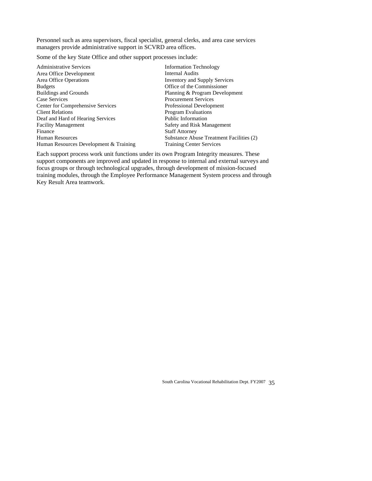managers provide administrative support in SCVRD area offices. Personnel such as area supervisors, fiscal specialist, general clerks, and area case services

Some of the key State Office and other support processes include:

Human Resources Development & Training Administrative Services Area Office Development Area Office Operations Budgets Buildings and Grounds Case Services Center for Comprehensive Services Client Relations Deaf and Hard of Hearing Services Facility Management Finance Human Resources

Office of the Commissioner Training Center Services Information Technology Internal Audits Inventory and Supply Services Planning & Program Development Procurement Services Professional Development Program Evaluations Public Information Safety and Risk Management Staff Attorney Substance Abuse Treatment Facilities (2)

support components are improved and updated in response to internal and external surveys and Each support process work unit functions under its own Program Integrity measures. These focus groups or through technological upgrades, through development of mission-focused training modules, through the Employee Performance Management System process and through Key Result Area teamwork.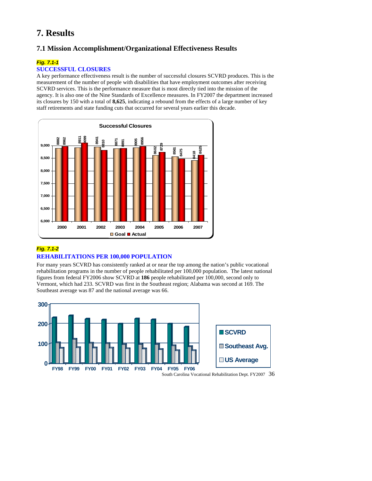# **7. Results**

# **7.1 Mission Accomplishment/Organizational Effectiveness Results**

## *Fig. 7.1-1*

#### **SUCCESSFUL CLOSU RES**

A key performance effectiveness result is the number of successful closures SCVRD produces. This is the measurement of the number of people with disabilities that have employment outcomes after receiving SCVRD services. This is the performance measure that is most directly tied into the mission of the agency. It is also one of the Nine Standards of Excellence measures. In FY2007 the department increased its closures by 150 with a total of 8,625, indicating a rebound from the effects of a large number of key staff retirements and state funding cuts that occurred for several years earlier this decade.



# *Fig. 7.1-2* **REHABILITATIONS PER 100,000 POPULATION**

For many years SCVRD has consistently ranked at or near the top among the nation's public vocational rehabilitation programs in the number of people rehabilitated per 100,000 population. The latest national figures from federal FY2006 show SCVRD at **186** people rehabilitated per 100,000, second only to Vermont, which had 233. SCVRD was first in the Southeast region; Alabama was second at 169. The Southeast average was 87 and the national average was 66.

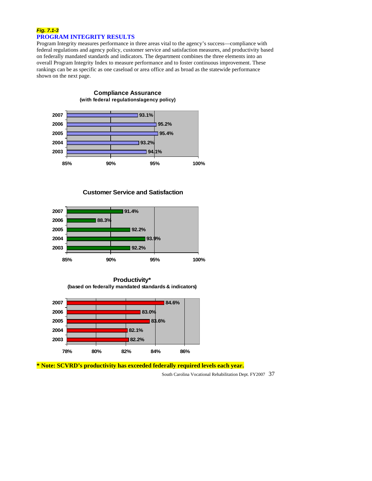#### *Fig. 7.1-3* **PROGRAM INTEGRITY RESULTS**

Program Integrity measures performance in three areas vital to the agency's success—compliance with federal regulations and agency policy, customer service and satisfaction measures, and productivity based on federally mandated standards and indicators. The department combines the three elements into an overall Program Integrity Index to measure performance and to foster continuous improvement. These rankings can be as specific as one caseload or area office and as broad as the statewide performance shown on the next page.



**Customer Service and Satisfaction** 



**Productivity\* (based on federally mandated standards & indicators)**



**\* Note: SCVRD's productivity has exceeded federally required levels each year.**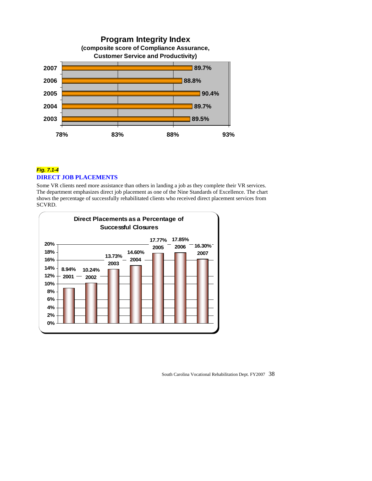

# *Fig. 7.1-4* **DIREC T JOB PLACEMENTS**

Some VR clients need more assistance than others in landing a job as they complete their VR services. The department emphasizes direct job placement as one of the Nine Standards of Excellence. The chart show s the percentage of successfully rehabilitated clients who received direct placement services from SCVR D.

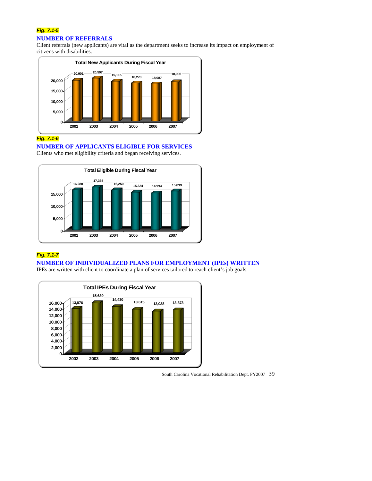# *Fig. 7.1-5*  **NUMBER OF REFERRALS**

Client referrals (new applicants) are vital as the department seeks to increase its impact on employment of citizens with disabilities.



# *Fig. 7.1-6*

**NUMBER OF APPLICANTS ELIGIBLE FOR SERVICES** 

Clients who met eligibility criteria and began receiving services.



# *Fig. 7.1-7*

## **NUMBER OF INDIVIDUALIZED PLANS FOR EMPLOYMENT (IPEs) WRITTEN**

IPEs are written with client to coordinate a plan of services tailored to reach client's job goals.



South Carolina Vocational Rehabilitation Dept. FY2007 39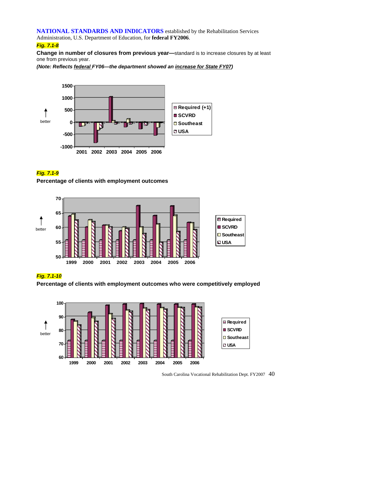**NATIONAL STANDARDS AND INDICATORS** established by the Rehabilitation Services

Administration, U.S. Department of Education, for federal FY2006.

# *Fig. 7.1-8*

**Change in number of closures from previous year—**standard is to increase closures by at least one from previous year.

*(Note: Reflects federal FY06—the department showed an increase for State FY07)* 



# *Fig. 7.1-9*

**Percentage of clients with employment outcomes** 



#### *Fig. 7.1- 10*

**Per centage of clients with employment outcomes who were competitively employed**



South Carolina Vocational Rehabilitation Dept. FY2007 40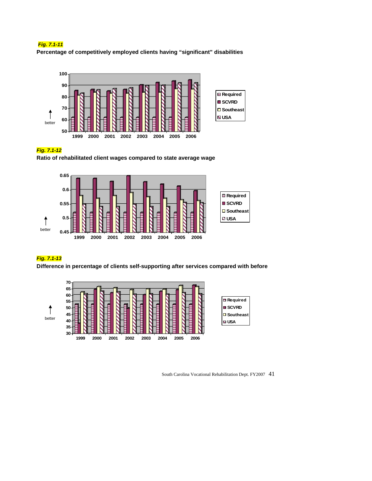# *Fig. 7.1-11*

**Percentage of competitively employed clients having "significant" disabilities** 



#### *Fig. 7.1-12*

Ratio of rehabilitated client wages compared to state average wage



### *Fig. 7.1-13*

**Diff erence in percentage of clients self-supporting after services compared with before** 

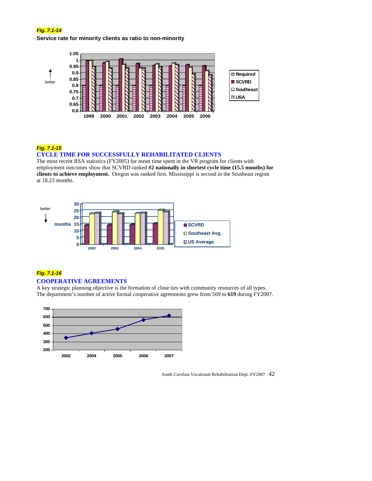#### *Fig. 7.1-14*

**Service rate for minority clients as ratio to non-minority**



# *Fig. 7.1-15*

#### **ME FOR SUCCESSFULLY REHABILITATED CLIENTS CYCLE TI**

The most recent RSA statistics (FY2005) for mean time spent in the VR program for clients with employment outcomes show that SCVRD ranked #2 nationally in shortest cycle time (15.5 months) for **clients to achieve employment.** Oregon was ranked first. Mississippi is second in the Southeast region at 18.23 months.



#### *Fig. 7.1-16*

#### **COOPERATIVE AGREEMENTS**

A key strategic planning objective is the formation of close ties with community resources of all types. The department's number of active formal cooperative agreements grew from 569 to **619** during FY2007.

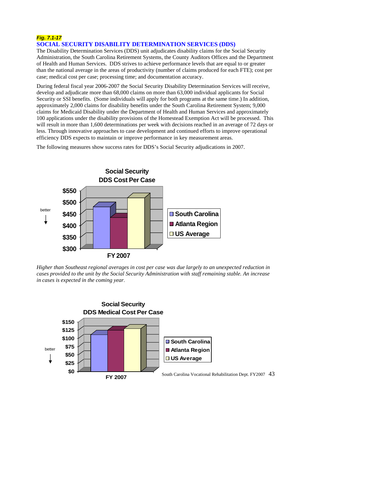#### *Fig. 7.1-17* **SOCIAL SECURITY DISABILITY DETERMINATION SERVICES (DDS)**

The Disabil ity Determination Services (DDS) unit adjudicates disability claims for the Social Security Administrati on, the South Carolina Retirement Systems, the County Auditors Offices and the Department of Health and Human Services. DDS strives to achieve performance levels that are equal to or greater than the nat ional average in the areas of productivity (number of claims produced for each FTE); cost per case; medical c ost per case; processing time; and documentation accuracy.

During federal fiscal year 2006-2007 the Social Security Disability Determination Services will receive, develop and adjudicate more than 68,000 claims on more than 63,000 individual applicants for Social Security or SSI benefits. (Some individuals will apply for both programs at the same time.) In addition, approximately 2,000 claims for disability benefits under the South Carolina Retirement System; 9,000 claims for Medicaid Disability under the Department of Health and Human Services and approximately 100 applications under the disability provisions of the Homestead Exemption Act will be processed. This will result in more than 1,600 determinations per week with decisions reached in an average of 72 days or less. Through innovative approaches to case development and continued efforts to improve operational efficiency DDS expects to maintain or improve performance in key measurement areas.

The following measures show success rates for DDS's Social Security adjudications in 2007.



*Higher than Southeast regional averages in cost per case was due largely to an unexpected reduction in cases provided to the unit by the Social Security Administration with staff remaining stable. An increase in cases is expected in the coming year.* 

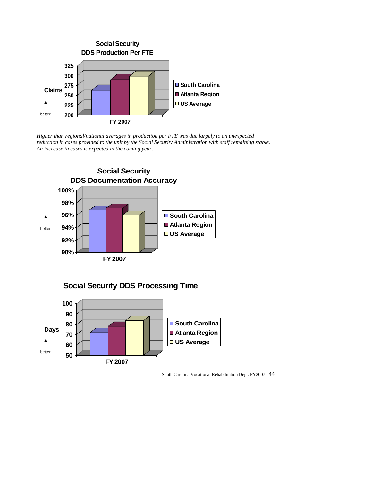

Higher than regional/national averages in production per FTE was due largely to an unexpected reduction in cases provided to the unit by the Social Security Administration with staff remaining stable. *in cases is expected in the coming year. An increase* 



**Social Security DDS Processing Time**

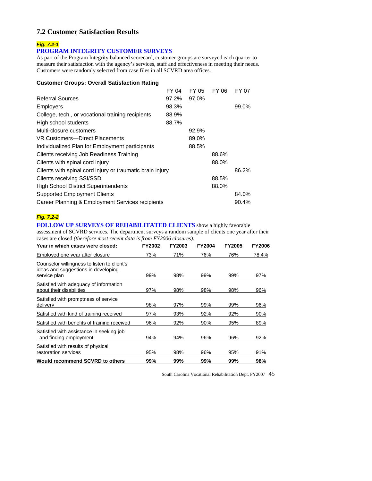# **7.2 Customer Satisfaction Results**

# *Fig. 7.2-1*

# **PROGRAM INTEGRITY CUSTOMER SURVEYS**

As part of the Program Integrity balanced scorecard, customer groups are surveyed each quarter to measure their satisfaction with the agency's services, staff and effectiveness in meeting their needs. Customers were randomly selected from case files in all SCVRD area offices.

#### **Customer Groups: Overall Satisfaction Rating**

| <b>Referral Sources</b><br>97.0%<br>97.2%<br>98.3%<br><b>Employers</b><br>99.0%<br>College, tech., or vocational training recipients<br>88.9%<br>High school students<br>88.7%<br>Multi-closure customers<br>92.9%<br>VR Customers-Direct Placements<br>89.0%<br>Individualized Plan for Employment participants<br>88.5%<br>Clients receiving Job Readiness Training<br>88.6%<br>Clients with spinal cord injury<br>88.0%<br>Clients with spinal cord injury or traumatic brain injury<br>86.2%<br><b>Clients receiving SSI/SSDI</b><br>88.5%<br><b>High School District Superintendents</b><br>88.0%<br><b>Supported Employment Clients</b><br>84.0%<br>90.4% |                                                  | FY 04 | FY 05 | FY 06 | FY 07 |
|-----------------------------------------------------------------------------------------------------------------------------------------------------------------------------------------------------------------------------------------------------------------------------------------------------------------------------------------------------------------------------------------------------------------------------------------------------------------------------------------------------------------------------------------------------------------------------------------------------------------------------------------------------------------|--------------------------------------------------|-------|-------|-------|-------|
|                                                                                                                                                                                                                                                                                                                                                                                                                                                                                                                                                                                                                                                                 |                                                  |       |       |       |       |
|                                                                                                                                                                                                                                                                                                                                                                                                                                                                                                                                                                                                                                                                 |                                                  |       |       |       |       |
|                                                                                                                                                                                                                                                                                                                                                                                                                                                                                                                                                                                                                                                                 |                                                  |       |       |       |       |
|                                                                                                                                                                                                                                                                                                                                                                                                                                                                                                                                                                                                                                                                 |                                                  |       |       |       |       |
|                                                                                                                                                                                                                                                                                                                                                                                                                                                                                                                                                                                                                                                                 |                                                  |       |       |       |       |
|                                                                                                                                                                                                                                                                                                                                                                                                                                                                                                                                                                                                                                                                 |                                                  |       |       |       |       |
|                                                                                                                                                                                                                                                                                                                                                                                                                                                                                                                                                                                                                                                                 |                                                  |       |       |       |       |
|                                                                                                                                                                                                                                                                                                                                                                                                                                                                                                                                                                                                                                                                 |                                                  |       |       |       |       |
|                                                                                                                                                                                                                                                                                                                                                                                                                                                                                                                                                                                                                                                                 |                                                  |       |       |       |       |
|                                                                                                                                                                                                                                                                                                                                                                                                                                                                                                                                                                                                                                                                 |                                                  |       |       |       |       |
|                                                                                                                                                                                                                                                                                                                                                                                                                                                                                                                                                                                                                                                                 |                                                  |       |       |       |       |
|                                                                                                                                                                                                                                                                                                                                                                                                                                                                                                                                                                                                                                                                 |                                                  |       |       |       |       |
|                                                                                                                                                                                                                                                                                                                                                                                                                                                                                                                                                                                                                                                                 |                                                  |       |       |       |       |
|                                                                                                                                                                                                                                                                                                                                                                                                                                                                                                                                                                                                                                                                 | Career Planning & Employment Services recipients |       |       |       |       |

# *Fig. 7.2-2*

**FOLLOW UP SURVEYS OF REHABILITATED CLIENTS** show a highly favorable

assessment of SCVRD services. The department surveys a random sample of clients one year after their cases are closed *(therefore most recent data is from FY2006 closures).*

| Year in which cases were closed:                                                                   | <b>FY2002</b> | <b>FY2003</b> | <b>FY2004</b> | <b>FY2005</b> | <b>FY2006</b> |
|----------------------------------------------------------------------------------------------------|---------------|---------------|---------------|---------------|---------------|
| Employed one year after closure                                                                    | 73%           | 71%           | 76%           | 76%           | 78.4%         |
| Counselor willingness to listen to client's<br>ideas and suggestions in developing<br>service plan | 99%           | 98%           | 99%           | 99%           | 97%           |
| Satisfied with adequacy of information<br>about their disabilities                                 | 97%           | 98%           | 98%           | 98%           | 96%           |
| Satisfied with promptness of service<br>delivery                                                   | 98%           | 97%           | 99%           | 99%           | 96%           |
| Satisfied with kind of training received                                                           | 97%           | 93%           | 92%           | 92%           | 90%           |
| Satisfied with benefits of training received                                                       | 96%           | 92%           | 90%           | 95%           | 89%           |
| Satisfied with assistance in seeking job<br>and finding employment                                 | 94%           | 94%           | 96%           | 96%           | 92%           |
| Satisfied with results of physical<br>restoration services                                         | 95%           | 98%           | 96%           | 95%           | 91%           |
| <b>Would recommend SCVRD to others</b>                                                             | 99%           | 99%           | 99%           | 99%           | 98%           |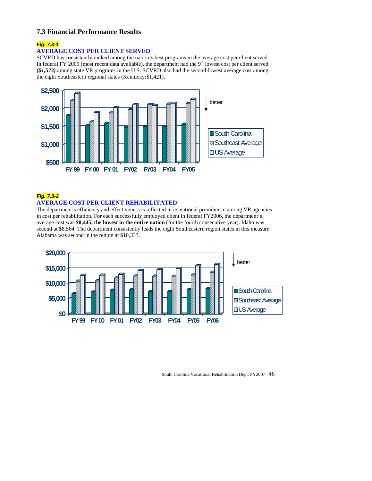# **7.3 Financial Performance Results**

# *Fig. 7.3-1*

### **AVERAGE COST PER CLIENT SERVED**

SCVRD has consistently ranked among the nation's best programs in the average cost per client served. In federal FY 2005 (most recent data available), the department had the  $9<sup>th</sup>$  lowest cost per client served *(\$1,573)* among state VR programs in the U.S. SCVRD also had the second-lowest average cost among the eight Southeastern regional states (Kentucky:\$1,421).



# *Fig. 7.3-2*  **AVERAGE COST PER CLIENT REHABILITATED**

The department's efficiency and effectiveness is reflected in its national prominence among VR agencies in cost per rehabilitation. For each successfully employed client in federal FY2006, the department's average cost was **\$8,445, the lowest in the entire nation** (for the fourth consecutive year). Idaho was second at \$8,564. The department consistently leads the eight Southeastern region states in this measure. Alabama was second in the region at \$10,333.

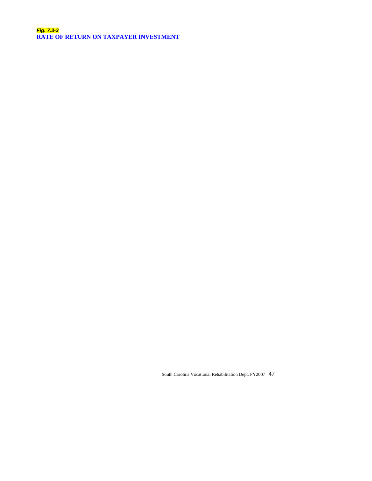*Fig. 7.3-3*  **RATE OF RETURN ON TAXPAYER INVESTMENT**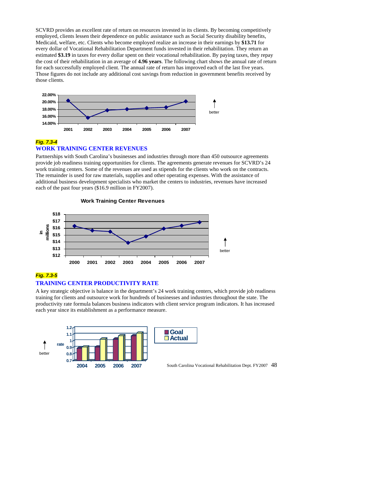SCVRD provides an excellent rate of return on resources invested in its clients. By becoming competitively employed, clients lessen their dependence on public assistance such as Social Security disability benefits, Medicaid, welfare, etc. Clients who become employed realize an increase in their earnings by \$13.71 for every dollar of Vocational Rehabilitation Department funds invested in their rehabilitation. They return an the cost of their rehabilitation in an average of **4.96 years**. The following chart shows the annual rate of return estimated **\$3.19** in taxes for every dollar spent on their vocational rehabilitation. By paying taxes, they repay for each successfully employed client. The annual rate of return has improved each of the last five years. Those figures do not include any additional cost savings from reduction in government benefits received by those clients.



#### *Fig. 7.3-4* **WORK TRAINING CENTER REVENUES**

Partnerships with South Carolina's businesses and industries through more than 450 outsource agreements provide job readiness training opportunities for clients. The agreements generate revenues for SCVRD's 24 work training centers. Some of the revenues are used as stipends for the clients who work on the contracts. The remainder is used for raw materials, supplies and other operating expenses. With the assistance of additional business development specialists who market the centers to industries, revenues have increased each of the past four years (\$16.9 million in FY2007).



# *Fig. 7.3-5*

#### **TRAINING CENTER PRODUCTIVITY RATE**

A key strategic objective is balance in the department's 24 work training centers, which provide job readiness training for clients and outsource work for hundreds of businesses and industries throughout the state. The productivity rate formula balances business indicators with client service program indicators. It has increased each year since its establishment as a performance measure.



South Carolina Vocational Rehabilitation Dept. FY2007 48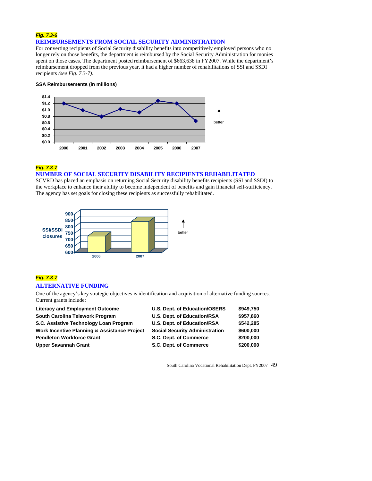#### *Fig. 7.3-6* **REIMBURSEMENTS FROM SOCIAL SECURITY ADMINISTRATION**

For converting recipients of Social Security disability benefits into competitively employed persons who no longer rely on those benefits, the department is reimbursed by the Social Security Administration for monies spent on those cases. The department posted reimbursement of \$663,638 in FY2007. While the department's reimbursement dropped from the previous year, it had a higher number of rehabilitations of SSI and SSDI recipients *(see Fig. 7.3-7)*.

#### **SSA Reimbursements (in millions)**



*Fig. 7.3-7*

#### **NUMBER OF SOCIAL SECURITY DISABILITY RECIPIENTS REHABILITATED**

SCVRD has placed an emphasis on returning Social Security disability benefits recipients (SSI and SSDI) to the workplace to enhance their ability to become independent of benefits and gain financial self-sufficiency. The agency has set goals for closing these recipients as successfully rehabilitated.



# *Fig. 7.3-7*  **ALTERNATIVE FUNDING**

One of the agency's key strategic objectives is identification and acquisition of alternative funding sources. Current grants include:

| <b>Literacy and Employment Outcome</b>                  | U.S. Dept. of Education/OSERS         | \$949,750 |
|---------------------------------------------------------|---------------------------------------|-----------|
| South Carolina Telework Program                         | U.S. Dept. of Education/RSA           | \$957,860 |
| S.C. Assistive Technology Loan Program                  | U.S. Dept. of Education/RSA           | \$542,285 |
| <b>Work Incentive Planning &amp; Assistance Project</b> | <b>Social Security Administration</b> | \$600,000 |
| <b>Pendleton Workforce Grant</b>                        | S.C. Dept. of Commerce                | \$200,000 |
| <b>Upper Savannah Grant</b>                             | S.C. Dept. of Commerce                | \$200,000 |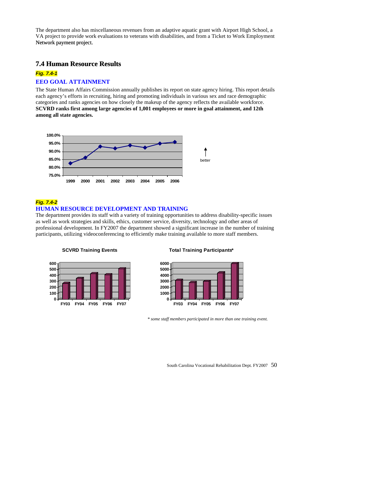VA project to provide work evaluations to veterans with disabilities, and from a Ticket to Work Employment The department also has miscellaneous revenues from an adaptive aquatic grant with Airport High School, a Network payment project.

### **7.4 Human Resource Results**

# *Fig. 7.4-1*

#### **EEO GOAL ATTAINMENT**

The State Human Affairs Commission annually publishes its report on state agency hiring. This report details each agency's efforts in recruiting, hiring and promoting individuals in various sex and race demographic categories and ranks agencies on how closely the makeup of the agency reflects the available workforce. **SCVRD ranks first among large agencies of 1,001 employees or more in goal attainment, and 12th among all state agencies.** 



#### *Fig. 7.4-2*

#### **HUMAN RESOURCE DEVELOPMENT AND TRAINING**

The department provides its staff with a variety of training opportunities to address disability-specific issues as well as work strategies and skills, ethics, customer service, diversity, technology and other areas of professional development. In FY2007 the department showed a significant increase in the number of training participants, utilizing videoconferencing to efficiently make training available to more staff members.

#### **SCVRD Training Events**



#### **Total Training Partic ipants\***



*\* some staff members participated in more than one training event.*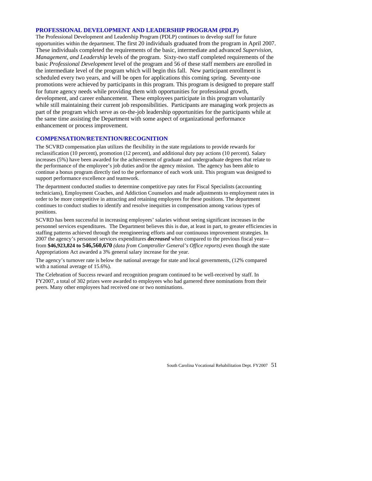#### **ROFESSIONAL DEVELOPMENT AND LEADERSHIP PROGRAM (PDLP) P**

The Professional Development and Leadership Program (PDLP) continues to develop staff for future . opportunities within the department. The first 20 individuals graduated from the program in April 2007 scheduled every two years, and will be open for applications this coming spring. Seventy-one promotions were achieved by participants in this program. This program is designed to prepare staff for future agency needs while providing them with opportunities for professional growth, development, and career enhancement. These employees participate in this program voluntarily while still maintaining their current job responsibilities. Participants are managing work projects as part of the program which serve as on-the-job leadership opportunities for the participants while at the same time assisting the Department with some aspect of organizational performance enhancement or process improvement. These individuals completed the requirements of the basic, intermediate and advanced *Supervision, Management, and Leadership* levels of the program. Sixty-two staff completed requirements of the basic *Professional Development* level of the program and 56 of these staff members are enrolled in the intermediate level of the program which will begin this fall. New participant enrollment is

#### **COMPENSATION/RETENTION/RECOGNITION**

The SCVRD compensation plan utilizes the flexibility in the state regulations to provide rewards for reclassification (10 percent), promotion (12 percent), and additional duty pay actions (10 percent). Salary increases (5%) have been awarded for the achievement of graduate and undergraduate degrees that relate to the performance of the employee's job duties and/or the agency mission. The agency has been able to continue a bonus program directly tied to the performance of each work unit. This program was designed to support performance excellence and teamwork.

technicians), Employment Coaches, and Addiction Counselors and made adjustments to employment rates in order to be more competitive in attracting and retaining employees for these positions. The department continues to conduct studies to identify and resolve inequities in compensation among various types of positions. The department conducted studies to determine competitive pay rates for Fiscal Specialists (accounting

SCVRD has been successful in increasing employees' salaries without seeing significant increases in the personnel services expenditures. The Department believes this is due, at least in part, to greater efficiencies in staffing patterns achieved through the reengineering efforts and our continuous improvement strategies. In 2007 the agency's personnel services expenditures *decreased* when compared to the previous fiscal year fro m **\$46,923,824 to** \$**46,560,670** *(data from Comptroller General's Office reports)* even though the state A ppropriations Act awarded a 3% general salary increase for the year.

with a national average of 15.6%). The agency's turnover rate is below the national average for state and local governments, (12% compared

The Celebration of Success reward and recognition program continued to be well-received by staff. In FY2007, a total of 302 prizes were awarded to employees who had garnered three nominations from their peers. Many other employees had received one or two nominations.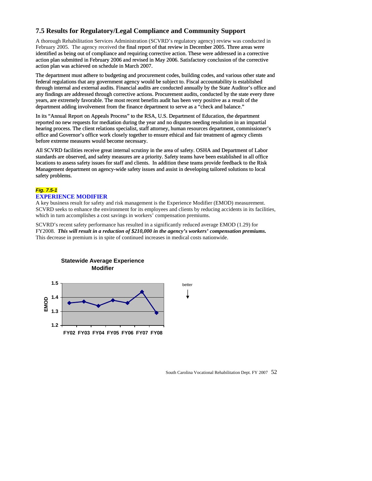# **7.5 Results for Regulatory/Legal Compliance and Community Support**

February 2005. The agency received the final report of that review in December 2005. Three areas were identified as being out of compliance and requiring corrective action. These were addressed in a corrective action plan submitted in February 2006 and revised in May 2006. Satisfactory conclusion of the corrective action plan was achieved on schedule in March 2007. A thorough Rehabilitation Services Administration (SCVRD's regulatory agency) review was conducted in

The department must adhere to budgeting and procurement codes, building codes, and various other state and federal regulations that any government agency would be subject to. Fiscal accountability is established In 19005. The agency received the final report of that review in December 2005.<br>The as being out of compliance and requiring corrective action. These were addre<br>plan submitted in February 2006 and revised in May 2006. Sati through internal and external audits. Financial audits are conducted annually by the State Auditor's office and any findings are addressed through corrective actions. Procurement audits, conducted by the state every three years, are extremely favorable. The most recent benefits audit has been very positive as a result of the department adding involvement from the finance department to serve as a "check and balance."

In its "Annual Report on Appeals Process" to the RSA, U.S. Department of Education, the department reported no new requests for mediation during the year and no disputes needing resolution in an impartial hearing process. The client relations specialist, staff attorney, human resources department, commissioner's office and Governor's office work closely together to ensure ethical and fair treatment of agency clients before extreme measures would become necessary.

All SCVRD facilities receive great internal scrutiny in the area of safety. OSHA and Department of Labor standards are observed, and safety measures are a priority. Safety teams have been established in all office locations to assess safety issues for staff and clients. In addition these teams provide feedback to the Risk Management department on agency-wide safety issues and assist in developing tailored solutions to local safety problems.

#### *Fig. 7.5-1* **E XPERIENCE MODIFIER**

A key business result for safety and risk management is the Experience Modifier (EMOD) measurement. SCVRD seeks to enhance the environment for its employees and clients by reducing accidents in its facilities, which in turn accomplishes a cost savings in workers' compensation premiums.

SCVRD's recent safety performance has resulted in a significantly reduced average EMOD (1.29) for FY2008. *This will result in a reduction of \$210,000 in the agency's workers' compensation premiums.*  This decrease in premium is in spite of continued increases in medical costs nationwide.